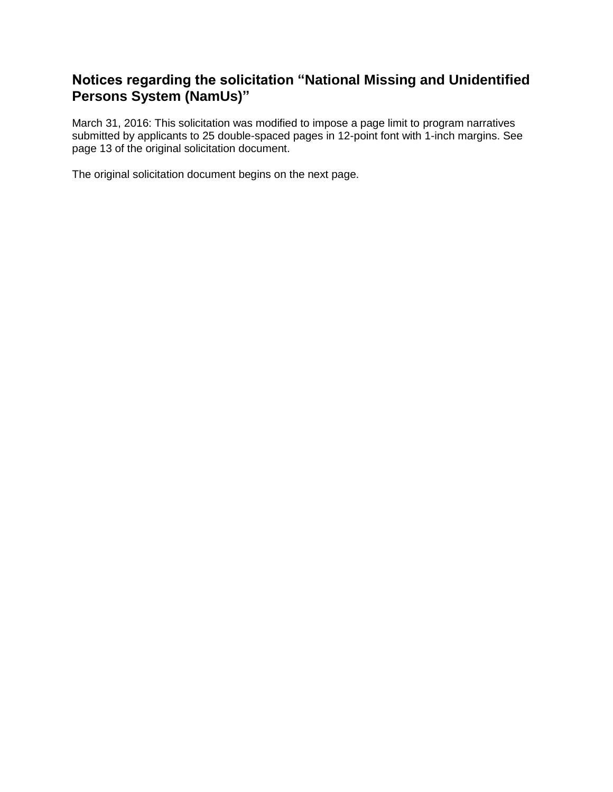## **Notices regarding the solicitation "National Missing and Unidentified Persons System (NamUs)"**

March 31, 2016: This solicitation was modified to impose a page limit to program narratives submitted by applicants to 25 double-spaced pages in 12-point font with 1-inch margins. See page 13 of the original solicitation document.

The original solicitation document begins on the next page.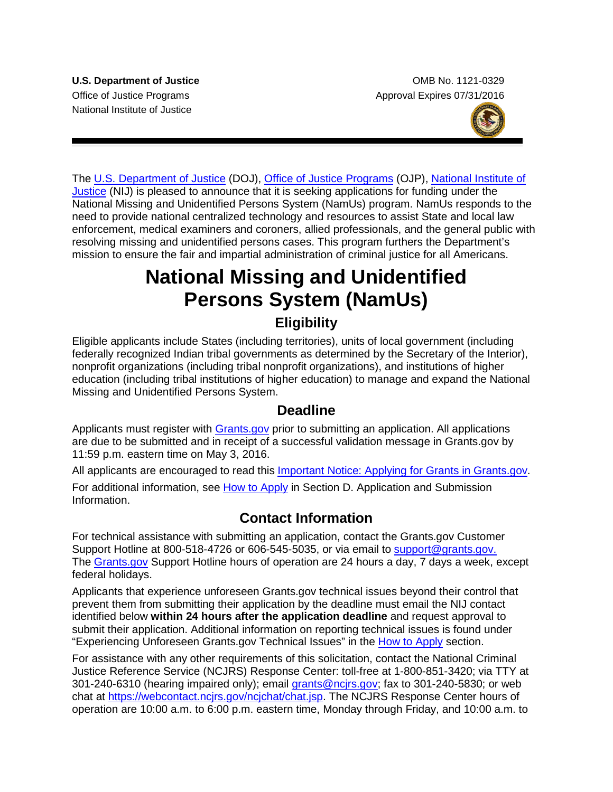National Institute of Justice

**U.S. Department of Justice Combine Accord Combine Combine Combine Combine Combine Combine Combine Combine Combine Combine Combine Combine Combine Combine Combine Combine Combine Combine Combine Combine Combine Combine Com** Office of Justice Programs **Approval Expires 07/31/2016** Approval Expires 07/31/2016



The [U.S. Department of Justice](http://www.usdoj.gov/) (DOJ), [Office of Justice Programs](http://www.ojp.usdoj.gov/) (OJP), [National Institute of](http://nij.gov/)  [Justice](http://nij.gov/) (NIJ) is pleased to announce that it is seeking applications for funding under the National Missing and Unidentified Persons System (NamUs) program. NamUs responds to the need to provide national centralized technology and resources to assist State and local law enforcement, medical examiners and coroners, allied professionals, and the general public with resolving missing and unidentified persons cases. This program furthers the Department's mission to ensure the fair and impartial administration of criminal justice for all Americans.

# **National Missing and Unidentified Persons System (NamUs)**

## **Eligibility**

Eligible applicants include States (including territories), units of local government (including federally recognized Indian tribal governments as determined by the Secretary of the Interior), nonprofit organizations (including tribal nonprofit organizations), and institutions of higher education (including tribal institutions of higher education) to manage and expand the National Missing and Unidentified Persons System.

## **Deadline**

Applicants must register with **Grants.gov** prior to submitting an application. All applications are due to be submitted and in receipt of a successful validation message in Grants.gov by 11:59 p.m. eastern time on May 3, 2016.

All applicants are encouraged to read this [Important Notice: Applying for Grants in Grants.gov.](http://ojp.gov/funding/Apply/Grants-govInfo.htm)

For additional information, see [How to Apply](#page-21-0) in Section [D. Application and Submission](#page-12-0)  [Information.](#page-12-0)

## **Contact Information**

For technical assistance with submitting an application, contact the Grants.gov Customer Support Hotline at 800-518-4726 or 606-545-5035, or via email to [support@grants.gov.](mailto:support@grants.gov) The [Grants.gov](http://www.grants.gov/applicants/apply_for_grants.jsp) Support Hotline hours of operation are 24 hours a day, 7 days a week, except federal holidays.

Applicants that experience unforeseen Grants.gov technical issues beyond their control that prevent them from submitting their application by the deadline must email the NIJ contact identified below **within 24 hours after the application deadline** and request approval to submit their application. Additional information on reporting technical issues is found under "Experiencing Unforeseen Grants.gov Technical Issues" in the [How to Apply](#page-21-0) section.

For assistance with any other requirements of this solicitation, contact the National Criminal Justice Reference Service (NCJRS) Response Center: toll-free at 1-800-851-3420; via TTY at 301-240-6310 (hearing impaired only); email [grants@ncjrs.gov;](mailto:responsecenter@ncjrs.gov) fax to 301-240-5830; or web chat at [https://webcontact.ncjrs.gov/ncjchat/chat.jsp.](https://webcontact.ncjrs.gov/ncjchat/chat.jsp) The NCJRS Response Center hours of operation are 10:00 a.m. to 6:00 p.m. eastern time, Monday through Friday, and 10:00 a.m. to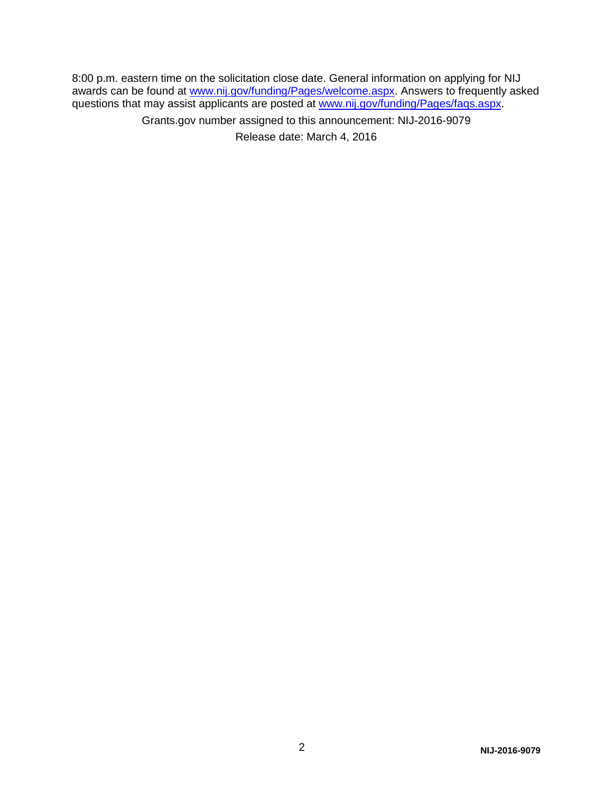8:00 p.m. eastern time on the solicitation close date. General information on applying for NIJ awards can be found at [www.nij.gov/funding/Pages/welcome.aspx.](http://www.nij.gov/funding/Pages/welcome.aspx) Answers to frequently asked questions that may assist applicants are posted at [www.nij.gov/funding/Pages/faqs.aspx.](http://www.nij.gov/funding/Pages/faqs.aspx)

> Grants.gov number assigned to this announcement: NIJ-2016-9079 Release date: March 4, 2016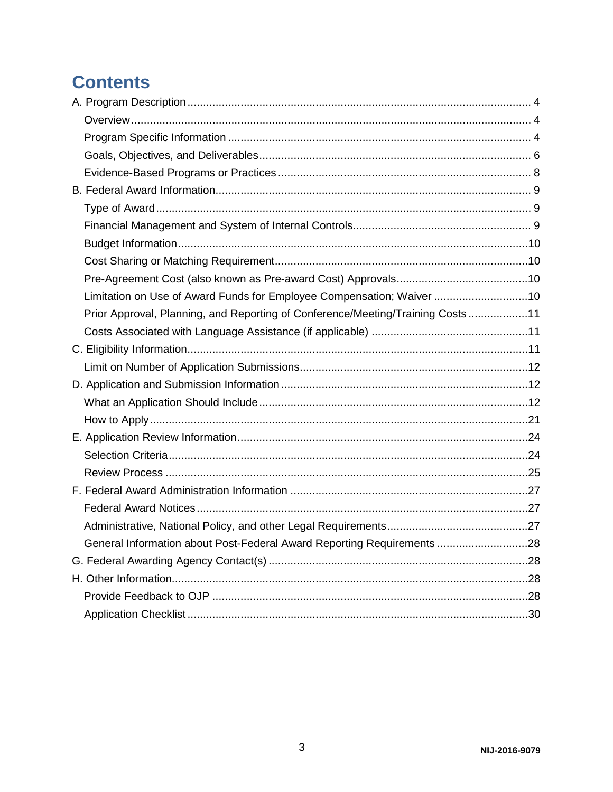## **Contents**

| Limitation on Use of Award Funds for Employee Compensation; Waiver 10          |  |
|--------------------------------------------------------------------------------|--|
| Prior Approval, Planning, and Reporting of Conference/Meeting/Training Costs11 |  |
|                                                                                |  |
|                                                                                |  |
|                                                                                |  |
|                                                                                |  |
|                                                                                |  |
|                                                                                |  |
|                                                                                |  |
|                                                                                |  |
|                                                                                |  |
|                                                                                |  |
|                                                                                |  |
|                                                                                |  |
| General Information about Post-Federal Award Reporting Requirements 28         |  |
|                                                                                |  |
|                                                                                |  |
|                                                                                |  |
|                                                                                |  |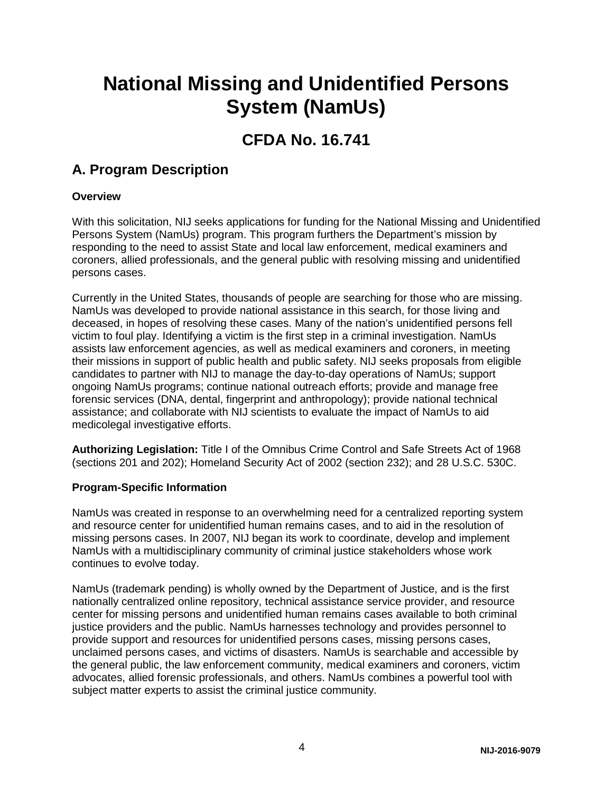## **National Missing and Unidentified Persons System (NamUs)**

## **CFDA No. 16.741**

## <span id="page-4-0"></span>**A. Program Description**

#### <span id="page-4-1"></span>**Overview**

With this solicitation, NIJ seeks applications for funding for the National Missing and Unidentified Persons System (NamUs) program. This program furthers the Department's mission by responding to the need to assist State and local law enforcement, medical examiners and coroners, allied professionals, and the general public with resolving missing and unidentified persons cases.

Currently in the United States, thousands of people are searching for those who are missing. NamUs was developed to provide national assistance in this search, for those living and deceased, in hopes of resolving these cases. Many of the nation's unidentified persons fell victim to foul play. Identifying a victim is the first step in a criminal investigation. NamUs assists law enforcement agencies, as well as medical examiners and coroners, in meeting their missions in support of public health and public safety. NIJ seeks proposals from eligible candidates to partner with NIJ to manage the day-to-day operations of NamUs; support ongoing NamUs programs; continue national outreach efforts; provide and manage free forensic services (DNA, dental, fingerprint and anthropology); provide national technical assistance; and collaborate with NIJ scientists to evaluate the impact of NamUs to aid medicolegal investigative efforts.

**Authorizing Legislation:** Title I of the Omnibus Crime Control and Safe Streets Act of 1968 (sections 201 and 202); Homeland Security Act of 2002 (section 232); and 28 U.S.C. 530C.

#### <span id="page-4-2"></span>**Program-Specific Information**

NamUs was created in response to an overwhelming need for a centralized reporting system and resource center for unidentified human remains cases, and to aid in the resolution of missing persons cases. In 2007, NIJ began its work to coordinate, develop and implement NamUs with a multidisciplinary community of criminal justice stakeholders whose work continues to evolve today.

NamUs (trademark pending) is wholly owned by the Department of Justice, and is the first nationally centralized online repository, technical assistance service provider, and resource center for missing persons and unidentified human remains cases available to both criminal justice providers and the public. NamUs harnesses technology and provides personnel to provide support and resources for unidentified persons cases, missing persons cases, unclaimed persons cases, and victims of disasters. NamUs is searchable and accessible by the general public, the law enforcement community, medical examiners and coroners, victim advocates, allied forensic professionals, and others. NamUs combines a powerful tool with subject matter experts to assist the criminal justice community.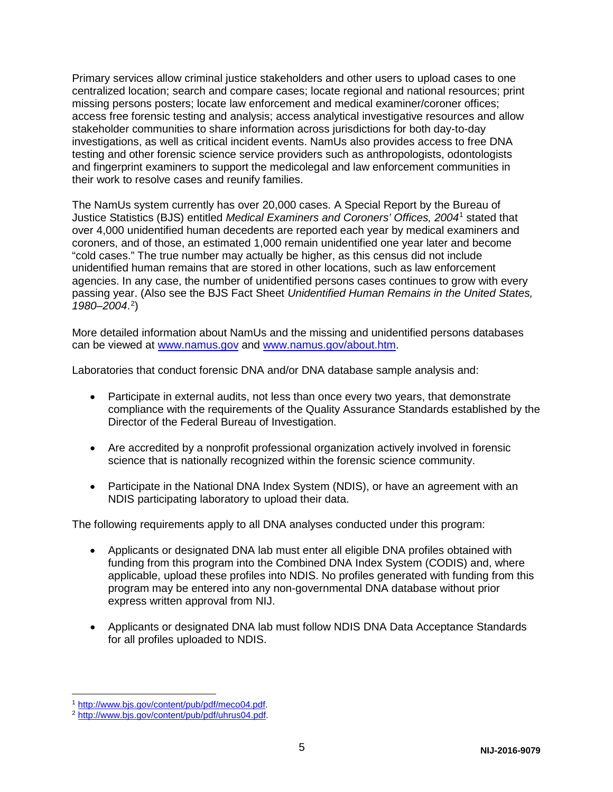Primary services allow criminal justice stakeholders and other users to upload cases to one centralized location; search and compare cases; locate regional and national resources; print missing persons posters; locate law enforcement and medical examiner/coroner offices; access free forensic testing and analysis; access analytical investigative resources and allow stakeholder communities to share information across jurisdictions for both day-to-day investigations, as well as critical incident events. NamUs also provides access to free DNA testing and other forensic science service providers such as anthropologists, odontologists and fingerprint examiners to support the medicolegal and law enforcement communities in their work to resolve cases and reunify families.

The NamUs system currently has over 20,000 cases. A Special Report by the Bureau of Justice Statistics (BJS) entitled *Medical Examiners and Coroners' Offices, 2004*[1](#page-5-0) stated that over 4,000 unidentified human decedents are reported each year by medical examiners and coroners, and of those, an estimated 1,000 remain unidentified one year later and become "cold cases." The true number may actually be higher, as this census did not include unidentified human remains that are stored in other locations, such as law enforcement agencies. In any case, the number of unidentified persons cases continues to grow with every passing year. (Also see the BJS Fact Sheet *Unidentified Human Remains in the United States, 1980–2004*. [2](#page-5-1) )

More detailed information about NamUs and the missing and unidentified persons databases can be viewed at [www.namus.gov](http://www.namus.gov/) and [www.namus.gov/about.htm.](http://www.namus.gov/about.htm)

Laboratories that conduct forensic DNA and/or DNA database sample analysis and:

- Participate in external audits, not less than once every two years, that demonstrate compliance with the requirements of the Quality Assurance Standards established by the Director of the Federal Bureau of Investigation.
- Are accredited by a nonprofit professional organization actively involved in forensic science that is nationally recognized within the forensic science community.
- Participate in the National DNA Index System (NDIS), or have an agreement with an NDIS participating laboratory to upload their data.

The following requirements apply to all DNA analyses conducted under this program:

- Applicants or designated DNA lab must enter all eligible DNA profiles obtained with funding from this program into the Combined DNA Index System (CODIS) and, where applicable, upload these profiles into NDIS. No profiles generated with funding from this program may be entered into any non-governmental DNA database without prior express written approval from NIJ.
- Applicants or designated DNA lab must follow NDIS DNA Data Acceptance Standards for all profiles uploaded to NDIS.

<span id="page-5-0"></span><sup>1&</sup>lt;br>1 <u>http://www.bjs.gov/content/pub/pdf/meco04.pdf</u>.

<span id="page-5-1"></span><sup>&</sup>lt;sup>2</sup> [http://www.bjs.gov/content/pub/pdf/uhrus04.pdf.](http://www.bjs.gov/content/pub/pdf/uhrus04.pdf)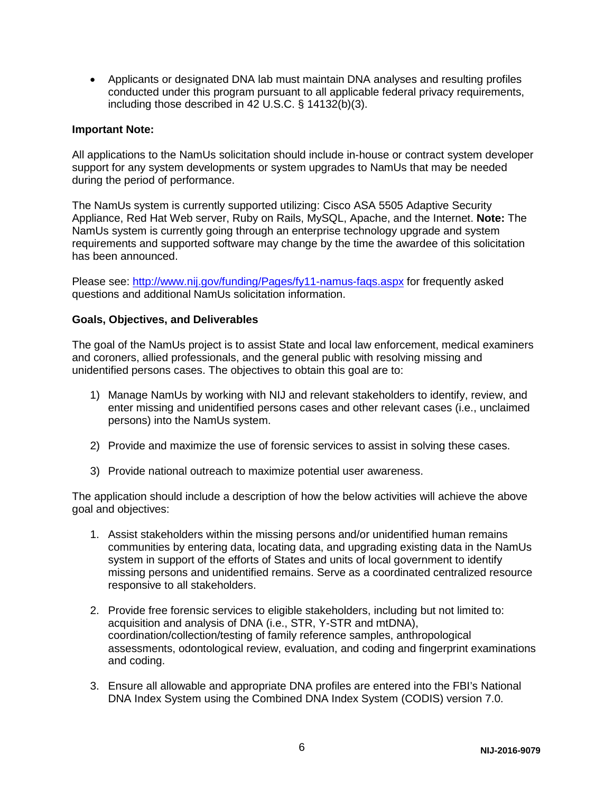• Applicants or designated DNA lab must maintain DNA analyses and resulting profiles conducted under this program pursuant to all applicable federal privacy requirements, including those described in 42 U.S.C. § 14132(b)(3).

#### **Important Note:**

All applications to the NamUs solicitation should include in-house or contract system developer support for any system developments or system upgrades to NamUs that may be needed during the period of performance.

The NamUs system is currently supported utilizing: Cisco ASA 5505 Adaptive Security Appliance, Red Hat Web server, Ruby on Rails, MySQL, Apache, and the Internet. **Note:** The NamUs system is currently going through an enterprise technology upgrade and system requirements and supported software may change by the time the awardee of this solicitation has been announced.

Please see:<http://www.nij.gov/funding/Pages/fy11-namus-faqs.aspx> for frequently asked questions and additional NamUs solicitation information.

#### <span id="page-6-0"></span>**Goals, Objectives, and Deliverables**

The goal of the NamUs project is to assist State and local law enforcement, medical examiners and coroners, allied professionals, and the general public with resolving missing and unidentified persons cases. The objectives to obtain this goal are to:

- 1) Manage NamUs by working with NIJ and relevant stakeholders to identify, review, and enter missing and unidentified persons cases and other relevant cases (i.e., unclaimed persons) into the NamUs system.
- 2) Provide and maximize the use of forensic services to assist in solving these cases.
- 3) Provide national outreach to maximize potential user awareness.

The application should include a description of how the below activities will achieve the above goal and objectives:

- 1. Assist stakeholders within the missing persons and/or unidentified human remains communities by entering data, locating data, and upgrading existing data in the NamUs system in support of the efforts of States and units of local government to identify missing persons and unidentified remains. Serve as a coordinated centralized resource responsive to all stakeholders.
- 2. Provide free forensic services to eligible stakeholders, including but not limited to: acquisition and analysis of DNA (i.e., STR, Y-STR and mtDNA), coordination/collection/testing of family reference samples, anthropological assessments, odontological review, evaluation, and coding and fingerprint examinations and coding.
- 3. Ensure all allowable and appropriate DNA profiles are entered into the FBI's National DNA Index System using the Combined DNA Index System (CODIS) version 7.0.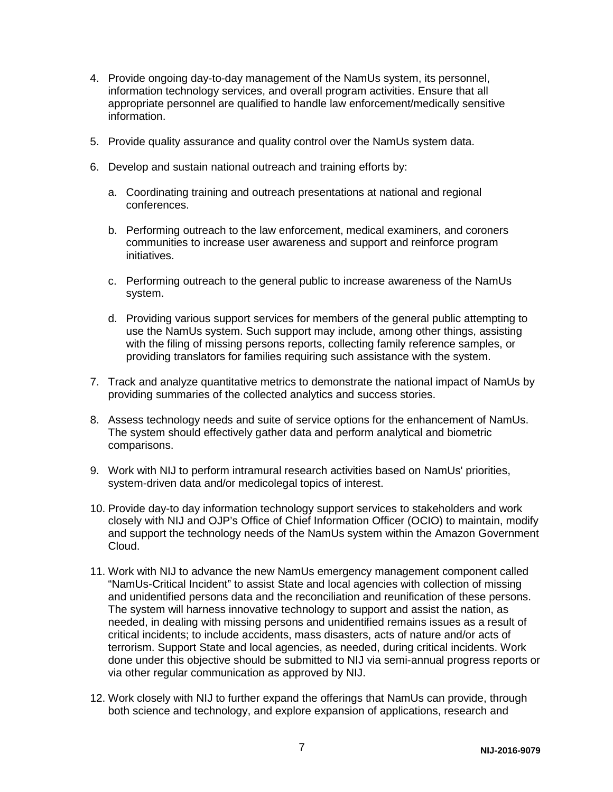- 4. Provide ongoing day-to-day management of the NamUs system, its personnel, information technology services, and overall program activities. Ensure that all appropriate personnel are qualified to handle law enforcement/medically sensitive information.
- 5. Provide quality assurance and quality control over the NamUs system data.
- 6. Develop and sustain national outreach and training efforts by:
	- a. Coordinating training and outreach presentations at national and regional conferences.
	- b. Performing outreach to the law enforcement, medical examiners, and coroners communities to increase user awareness and support and reinforce program initiatives.
	- c. Performing outreach to the general public to increase awareness of the NamUs system.
	- d. Providing various support services for members of the general public attempting to use the NamUs system. Such support may include, among other things, assisting with the filing of missing persons reports, collecting family reference samples, or providing translators for families requiring such assistance with the system.
- 7. Track and analyze quantitative metrics to demonstrate the national impact of NamUs by providing summaries of the collected analytics and success stories.
- 8. Assess technology needs and suite of service options for the enhancement of NamUs. The system should effectively gather data and perform analytical and biometric comparisons.
- 9. Work with NIJ to perform intramural research activities based on NamUs' priorities, system-driven data and/or medicolegal topics of interest.
- 10. Provide day-to day information technology support services to stakeholders and work closely with NIJ and OJP's Office of Chief Information Officer (OCIO) to maintain, modify and support the technology needs of the NamUs system within the Amazon Government Cloud.
- 11. Work with NIJ to advance the new NamUs emergency management component called "NamUs-Critical Incident" to assist State and local agencies with collection of missing and unidentified persons data and the reconciliation and reunification of these persons. The system will harness innovative technology to support and assist the nation, as needed, in dealing with missing persons and unidentified remains issues as a result of critical incidents; to include accidents, mass disasters, acts of nature and/or acts of terrorism. Support State and local agencies, as needed, during critical incidents. Work done under this objective should be submitted to NIJ via semi-annual progress reports or via other regular communication as approved by NIJ.
- 12. Work closely with NIJ to further expand the offerings that NamUs can provide, through both science and technology, and explore expansion of applications, research and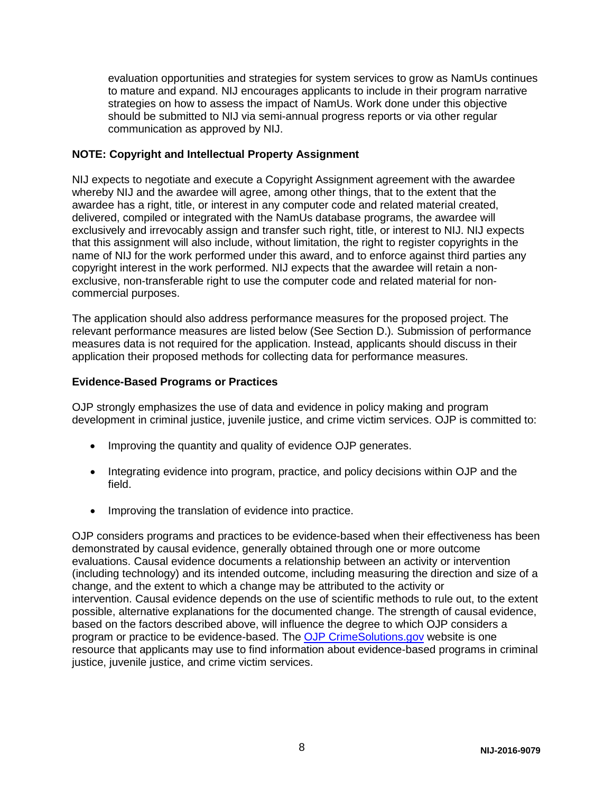evaluation opportunities and strategies for system services to grow as NamUs continues to mature and expand. NIJ encourages applicants to include in their program narrative strategies on how to assess the impact of NamUs. Work done under this objective should be submitted to NIJ via semi-annual progress reports or via other regular communication as approved by NIJ.

#### **NOTE: Copyright and Intellectual Property Assignment**

NIJ expects to negotiate and execute a Copyright Assignment agreement with the awardee whereby NIJ and the awardee will agree, among other things, that to the extent that the awardee has a right, title, or interest in any computer code and related material created, delivered, compiled or integrated with the NamUs database programs, the awardee will exclusively and irrevocably assign and transfer such right, title, or interest to NIJ. NIJ expects that this assignment will also include, without limitation, the right to register copyrights in the name of NIJ for the work performed under this award, and to enforce against third parties any copyright interest in the work performed. NIJ expects that the awardee will retain a nonexclusive, non-transferable right to use the computer code and related material for noncommercial purposes.

The application should also address performance measures for the proposed project. The relevant performance measures are listed below (See Section D.)*.* Submission of performance measures data is not required for the application. Instead, applicants should discuss in their application their proposed methods for collecting data for performance measures.

#### <span id="page-8-0"></span>**Evidence-Based Programs or Practices**

OJP strongly emphasizes the use of data and evidence in policy making and program development in criminal justice, juvenile justice, and crime victim services. OJP is committed to:

- Improving the quantity and quality of evidence OJP generates.
- Integrating evidence into program, practice, and policy decisions within OJP and the field.
- Improving the translation of evidence into practice.

<span id="page-8-1"></span>OJP considers programs and practices to be evidence-based when their effectiveness has been demonstrated by causal evidence, generally obtained through one or more outcome evaluations. Causal evidence documents a relationship between an activity or intervention (including technology) and its intended outcome, including measuring the direction and size of a change, and the extent to which a change may be attributed to the activity or intervention. Causal evidence depends on the use of scientific methods to rule out, to the extent possible, alternative explanations for the documented change. The strength of causal evidence, based on the factors described above, will influence the degree to which OJP considers a program or practice to be evidence-based. The [OJP CrimeSolutions.gov](http://www.crimesolutions.gov/) website is one resource that applicants may use to find information about evidence-based programs in criminal justice, juvenile justice, and crime victim services.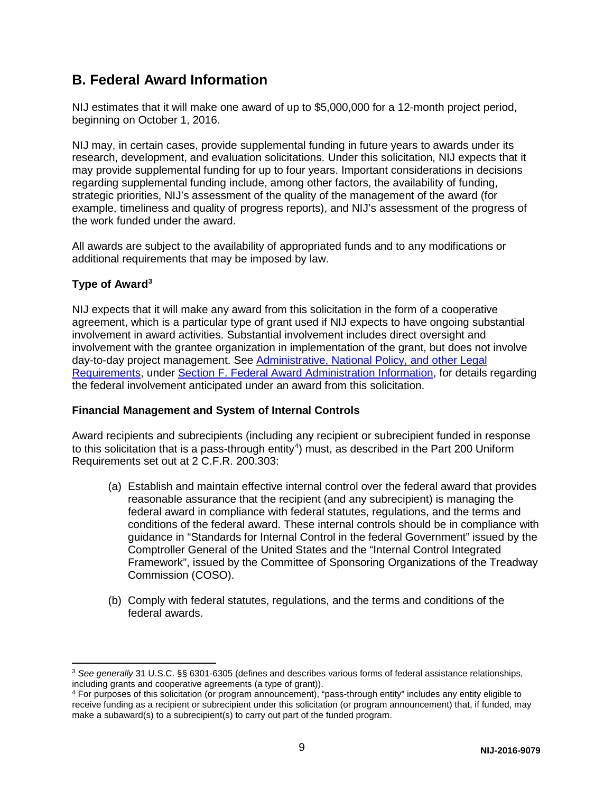## **B. Federal Award Information**

NIJ estimates that it will make one award of up to \$5,000,000 for a 12-month project period, beginning on October 1, 2016.

NIJ may, in certain cases, provide supplemental funding in future years to awards under its research, development, and evaluation solicitations. Under this solicitation, NIJ expects that it may provide supplemental funding for up to four years. Important considerations in decisions regarding supplemental funding include, among other factors, the availability of funding, strategic priorities, NIJ's assessment of the quality of the management of the award (for example, timeliness and quality of progress reports), and NIJ's assessment of the progress of the work funded under the award.

All awards are subject to the availability of appropriated funds and to any modifications or additional requirements that may be imposed by law.

#### <span id="page-9-0"></span>**Type of Award[3](#page-9-2)**

NIJ expects that it will make any award from this solicitation in the form of a cooperative agreement, which is a particular type of grant used if NIJ expects to have ongoing substantial involvement in award activities. Substantial involvement includes direct oversight and involvement with the grantee organization in implementation of the grant, but does not involve day-to-day project management. See [Administrative, National Policy, and other Legal](#page-26-0)  [Requirements,](#page-26-0) under [Section F. Federal Award Administration Information,](#page-26-0) for details regarding the federal involvement anticipated under an award from this solicitation.

#### <span id="page-9-1"></span>**Financial Management and System of Internal Controls**

Award recipients and subrecipients (including any recipient or subrecipient funded in response to this solicitation that is a pass-through entity<sup>4</sup>) must, as described in the Part 200 Uniform Requirements set out at 2 C.F.R. 200.303:

- (a) Establish and maintain effective internal control over the federal award that provides reasonable assurance that the recipient (and any subrecipient) is managing the federal award in compliance with federal statutes, regulations, and the terms and conditions of the federal award. These internal controls should be in compliance with guidance in "Standards for Internal Control in the federal Government" issued by the Comptroller General of the United States and the "Internal Control Integrated Framework", issued by the Committee of Sponsoring Organizations of the Treadway Commission (COSO).
- (b) Comply with federal statutes, regulations, and the terms and conditions of the federal awards.

<span id="page-9-2"></span> <sup>3</sup> *See generally* 31 U.S.C. §§ 6301-6305 (defines and describes various forms of federal assistance relationships, including grants and cooperative agreements (a type of grant)).

<span id="page-9-3"></span><sup>4</sup> For purposes of this solicitation (or program announcement), "pass-through entity" includes any entity eligible to receive funding as a recipient or subrecipient under this solicitation (or program announcement) that, if funded, may make a subaward(s) to a subrecipient(s) to carry out part of the funded program.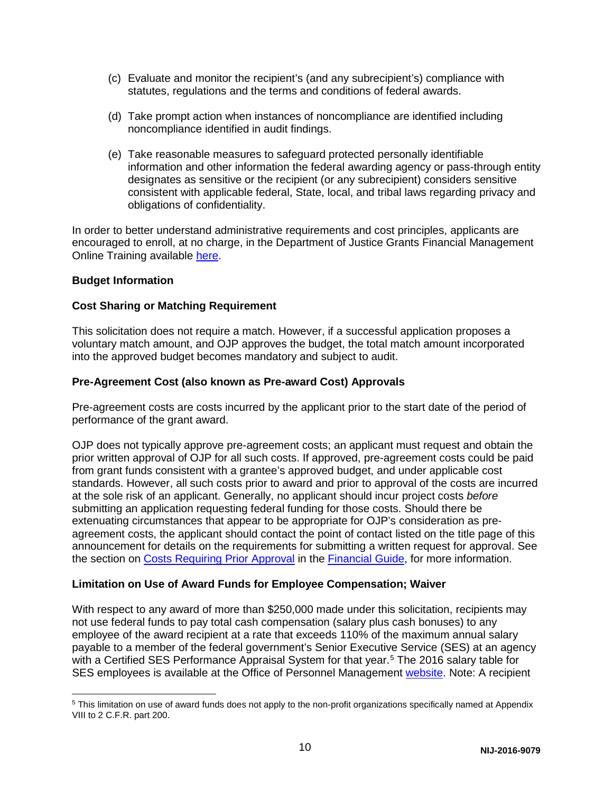- (c) Evaluate and monitor the recipient's (and any subrecipient's) compliance with statutes, regulations and the terms and conditions of federal awards.
- (d) Take prompt action when instances of noncompliance are identified including noncompliance identified in audit findings.
- (e) Take reasonable measures to safeguard protected personally identifiable information and other information the federal awarding agency or pass-through entity designates as sensitive or the recipient (or any subrecipient) considers sensitive consistent with applicable federal, State, local, and tribal laws regarding privacy and obligations of confidentiality.

In order to better understand administrative requirements and cost principles, applicants are encouraged to enroll, at no charge, in the Department of Justice Grants Financial Management Online Training available [here.](http://gfm.webfirst.com/)

#### <span id="page-10-0"></span>**Budget Information**

#### <span id="page-10-1"></span>**Cost Sharing or Matching Requirement**

This solicitation does not require a match. However, if a successful application proposes a voluntary match amount, and OJP approves the budget, the total match amount incorporated into the approved budget becomes mandatory and subject to audit.

#### <span id="page-10-2"></span>**Pre-Agreement Cost (also known as Pre-award Cost) Approvals**

Pre-agreement costs are costs incurred by the applicant prior to the start date of the period of performance of the grant award.

OJP does not typically approve pre-agreement costs; an applicant must request and obtain the prior written approval of OJP for all such costs. If approved, pre-agreement costs could be paid from grant funds consistent with a grantee's approved budget, and under applicable cost standards. However, all such costs prior to award and prior to approval of the costs are incurred at the sole risk of an applicant. Generally, no applicant should incur project costs *before* submitting an application requesting federal funding for those costs. Should there be extenuating circumstances that appear to be appropriate for OJP's consideration as preagreement costs, the applicant should contact the point of contact listed on the title page of this announcement for details on the requirements for submitting a written request for approval. See the section on [Costs Requiring Prior Approval](http://ojp.gov/financialguide/DOJ/PostawardRequirements/chapter3.6a.htm) in the [Financial Guide,](http://ojp.gov/financialguide/DOJ/index.htm) for more information.

#### <span id="page-10-3"></span>**Limitation on Use of Award Funds for Employee Compensation; Waiver**

With respect to any award of more than \$250,000 made under this solicitation, recipients may not use federal funds to pay total cash compensation (salary plus cash bonuses) to any employee of the award recipient at a rate that exceeds 110% of the maximum annual salary payable to a member of the federal government's Senior Executive Service (SES) at an agency with a Certified SES Performance Appraisal System for that year.<sup>[5](#page-10-4)</sup> The 2016 salary table for SES employees is available at the Office of Personnel Management [website.](http://www.opm.gov/policy-data-oversight/pay-leave/salaries-wages/salary-tables/16Tables/exec/html/ES.aspx) Note: A recipient

<span id="page-10-4"></span> <sup>5</sup> This limitation on use of award funds does not apply to the non-profit organizations specifically named at Appendix VIII to 2 C.F.R. part 200.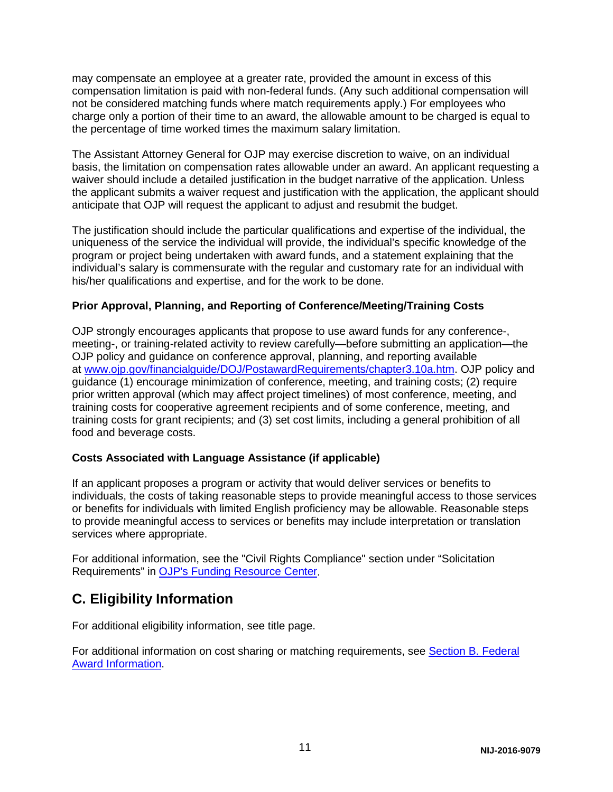may compensate an employee at a greater rate, provided the amount in excess of this compensation limitation is paid with non-federal funds. (Any such additional compensation will not be considered matching funds where match requirements apply.) For employees who charge only a portion of their time to an award, the allowable amount to be charged is equal to the percentage of time worked times the maximum salary limitation.

The Assistant Attorney General for OJP may exercise discretion to waive, on an individual basis, the limitation on compensation rates allowable under an award. An applicant requesting a waiver should include a detailed justification in the budget narrative of the application. Unless the applicant submits a waiver request and justification with the application, the applicant should anticipate that OJP will request the applicant to adjust and resubmit the budget.

The justification should include the particular qualifications and expertise of the individual, the uniqueness of the service the individual will provide, the individual's specific knowledge of the program or project being undertaken with award funds, and a statement explaining that the individual's salary is commensurate with the regular and customary rate for an individual with his/her qualifications and expertise, and for the work to be done.

#### <span id="page-11-0"></span>**Prior Approval, Planning, and Reporting of Conference/Meeting/Training Costs**

OJP strongly encourages applicants that propose to use award funds for any conference-, meeting-, or training-related activity to review carefully—before submitting an application—the OJP policy and guidance on conference approval, planning, and reporting available at [www.ojp.gov/financialguide/DOJ/PostawardRequirements/chapter3.10a.htm.](http://www.ojp.gov/financialguide/DOJ/PostawardRequirements/chapter3.10a.htm) OJP policy and guidance (1) encourage minimization of conference, meeting, and training costs; (2) require prior written approval (which may affect project timelines) of most conference, meeting, and training costs for cooperative agreement recipients and of some conference, meeting, and training costs for grant recipients; and (3) set cost limits, including a general prohibition of all food and beverage costs.

#### <span id="page-11-1"></span>**Costs Associated with Language Assistance (if applicable)**

If an applicant proposes a program or activity that would deliver services or benefits to individuals, the costs of taking reasonable steps to provide meaningful access to those services or benefits for individuals with limited English proficiency may be allowable. Reasonable steps to provide meaningful access to services or benefits may include interpretation or translation services where appropriate.

For additional information, see the "Civil Rights Compliance" section under "Solicitation Requirements" in [OJP's Funding Resource Center.](http://ojp.gov/funding/index.htm)

## <span id="page-11-2"></span>**C. Eligibility Information**

For additional eligibility information, see title page.

<span id="page-11-3"></span>For additional information on cost sharing or matching requirements, see [Section B. Federal](#page-8-1)  [Award Information.](#page-8-1)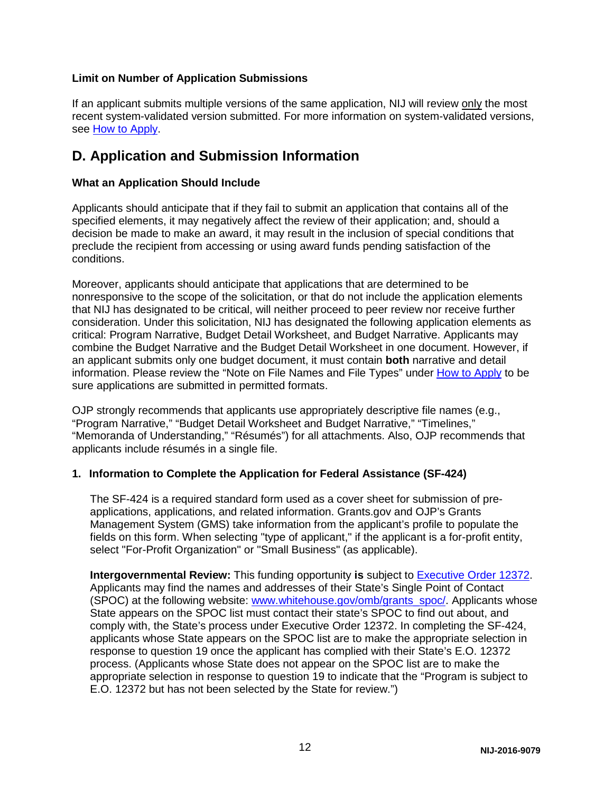#### **Limit on Number of Application Submissions**

If an applicant submits multiple versions of the same application, NIJ will review only the most recent system-validated version submitted. For more information on system-validated versions, see [How to Apply.](#page-21-0)

## <span id="page-12-0"></span>**D. Application and Submission Information**

#### <span id="page-12-1"></span>**What an Application Should Include**

Applicants should anticipate that if they fail to submit an application that contains all of the specified elements, it may negatively affect the review of their application; and, should a decision be made to make an award, it may result in the inclusion of special conditions that preclude the recipient from accessing or using award funds pending satisfaction of the conditions.

Moreover, applicants should anticipate that applications that are determined to be nonresponsive to the scope of the solicitation, or that do not include the application elements that NIJ has designated to be critical, will neither proceed to peer review nor receive further consideration. Under this solicitation, NIJ has designated the following application elements as critical: Program Narrative, Budget Detail Worksheet, and Budget Narrative. Applicants may combine the Budget Narrative and the Budget Detail Worksheet in one document. However, if an applicant submits only one budget document, it must contain **both** narrative and detail information. Please review the "Note on File Names and File Types" under [How to Apply](#page-21-0) to be sure applications are submitted in permitted formats.

OJP strongly recommends that applicants use appropriately descriptive file names (e.g., "Program Narrative," "Budget Detail Worksheet and Budget Narrative," "Timelines," "Memoranda of Understanding," "Résumés") for all attachments. Also, OJP recommends that applicants include résumés in a single file.

#### **1. Information to Complete the Application for Federal Assistance (SF-424)**

The SF-424 is a required standard form used as a cover sheet for submission of preapplications, applications, and related information. Grants.gov and OJP's Grants Management System (GMS) take information from the applicant's profile to populate the fields on this form. When selecting "type of applicant," if the applicant is a for-profit entity, select "For-Profit Organization" or "Small Business" (as applicable).

**Intergovernmental Review:** This funding opportunity **is** subject to [Executive Order 12372.](http://www.archives.gov/federal-register/codification/executive-order/12372.html) Applicants may find the names and addresses of their State's Single Point of Contact (SPOC) at the following website: [www.whitehouse.gov/omb/grants\\_spoc/.](http://www.whitehouse.gov/omb/grants_spoc/) Applicants whose State appears on the SPOC list must contact their state's SPOC to find out about, and comply with, the State's process under Executive Order 12372. In completing the SF-424, applicants whose State appears on the SPOC list are to make the appropriate selection in response to question 19 once the applicant has complied with their State's E.O. 12372 process. (Applicants whose State does not appear on the SPOC list are to make the appropriate selection in response to question 19 to indicate that the "Program is subject to E.O. 12372 but has not been selected by the State for review.")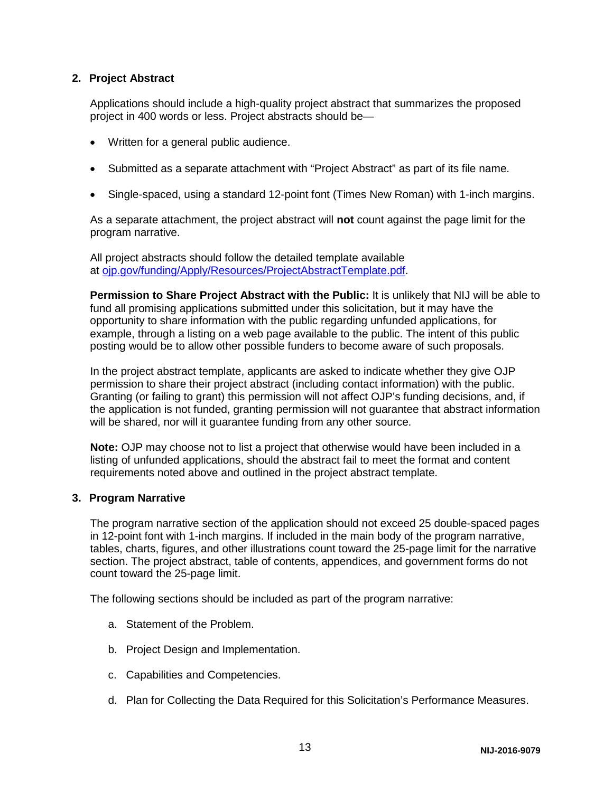#### **2. Project Abstract**

Applications should include a high-quality project abstract that summarizes the proposed project in 400 words or less. Project abstracts should be—

- Written for a general public audience.
- Submitted as a separate attachment with "Project Abstract" as part of its file name.
- Single-spaced, using a standard 12-point font (Times New Roman) with 1-inch margins.

As a separate attachment, the project abstract will **not** count against the page limit for the program narrative.

All project abstracts should follow the detailed template available at [ojp.gov/funding/Apply/Resources/ProjectAbstractTemplate.pdf.](http://ojp.gov/funding/Apply/Resources/ProjectAbstractTemplate.pdf)

**Permission to Share Project Abstract with the Public:** It is unlikely that NIJ will be able to fund all promising applications submitted under this solicitation, but it may have the opportunity to share information with the public regarding unfunded applications, for example, through a listing on a web page available to the public. The intent of this public posting would be to allow other possible funders to become aware of such proposals.

In the project abstract template, applicants are asked to indicate whether they give OJP permission to share their project abstract (including contact information) with the public. Granting (or failing to grant) this permission will not affect OJP's funding decisions, and, if the application is not funded, granting permission will not guarantee that abstract information will be shared, nor will it guarantee funding from any other source.

**Note:** OJP may choose not to list a project that otherwise would have been included in a listing of unfunded applications, should the abstract fail to meet the format and content requirements noted above and outlined in the project abstract template.

#### **3. Program Narrative**

The program narrative section of the application should not exceed 25 double-spaced pages in 12-point font with 1-inch margins. If included in the main body of the program narrative, tables, charts, figures, and other illustrations count toward the 25-page limit for the narrative section. The project abstract, table of contents, appendices, and government forms do not count toward the 25-page limit.

The following sections should be included as part of the program narrative:

- a. Statement of the Problem.
- b. Project Design and Implementation.
- c. Capabilities and Competencies.
- d. Plan for Collecting the Data Required for this Solicitation's Performance Measures.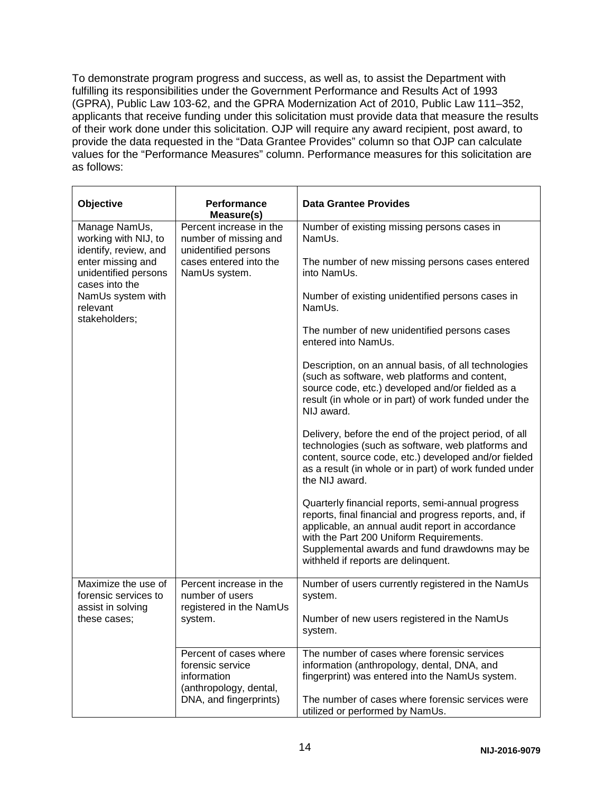To demonstrate program progress and success, as well as, to assist the Department with fulfilling its responsibilities under the Government Performance and Results Act of 1993 (GPRA), Public Law 103-62, and the GPRA Modernization Act of 2010, Public Law 111–352, applicants that receive funding under this solicitation must provide data that measure the results of their work done under this solicitation. OJP will require any award recipient, post award, to provide the data requested in the "Data Grantee Provides" column so that OJP can calculate values for the "Performance Measures" column. Performance measures for this solicitation are as follows:

| Objective                                                        | Performance<br>Measure(s)                                                                                     | <b>Data Grantee Provides</b>                                                                                                                                                                                                                                                                       |
|------------------------------------------------------------------|---------------------------------------------------------------------------------------------------------------|----------------------------------------------------------------------------------------------------------------------------------------------------------------------------------------------------------------------------------------------------------------------------------------------------|
| Manage NamUs,<br>working with NIJ, to<br>identify, review, and   | Percent increase in the<br>number of missing and<br>unidentified persons                                      | Number of existing missing persons cases in<br>NamUs.                                                                                                                                                                                                                                              |
| enter missing and<br>unidentified persons<br>cases into the      | cases entered into the<br>NamUs system.                                                                       | The number of new missing persons cases entered<br>into NamUs.                                                                                                                                                                                                                                     |
| NamUs system with<br>relevant<br>stakeholders;                   |                                                                                                               | Number of existing unidentified persons cases in<br>NamUs.                                                                                                                                                                                                                                         |
|                                                                  |                                                                                                               | The number of new unidentified persons cases<br>entered into NamUs.                                                                                                                                                                                                                                |
|                                                                  |                                                                                                               | Description, on an annual basis, of all technologies<br>(such as software, web platforms and content,<br>source code, etc.) developed and/or fielded as a<br>result (in whole or in part) of work funded under the<br>NIJ award.                                                                   |
|                                                                  |                                                                                                               | Delivery, before the end of the project period, of all<br>technologies (such as software, web platforms and<br>content, source code, etc.) developed and/or fielded<br>as a result (in whole or in part) of work funded under<br>the NIJ award.                                                    |
|                                                                  |                                                                                                               | Quarterly financial reports, semi-annual progress<br>reports, final financial and progress reports, and, if<br>applicable, an annual audit report in accordance<br>with the Part 200 Uniform Requirements.<br>Supplemental awards and fund drawdowns may be<br>withheld if reports are delinquent. |
| Maximize the use of<br>forensic services to<br>assist in solving | Percent increase in the<br>number of users<br>registered in the NamUs                                         | Number of users currently registered in the NamUs<br>system.                                                                                                                                                                                                                                       |
| these cases;                                                     | system.                                                                                                       | Number of new users registered in the NamUs<br>system.                                                                                                                                                                                                                                             |
|                                                                  | Percent of cases where<br>forensic service<br>information<br>(anthropology, dental,<br>DNA, and fingerprints) | The number of cases where forensic services<br>information (anthropology, dental, DNA, and<br>fingerprint) was entered into the NamUs system.<br>The number of cases where forensic services were                                                                                                  |
|                                                                  |                                                                                                               | utilized or performed by NamUs.                                                                                                                                                                                                                                                                    |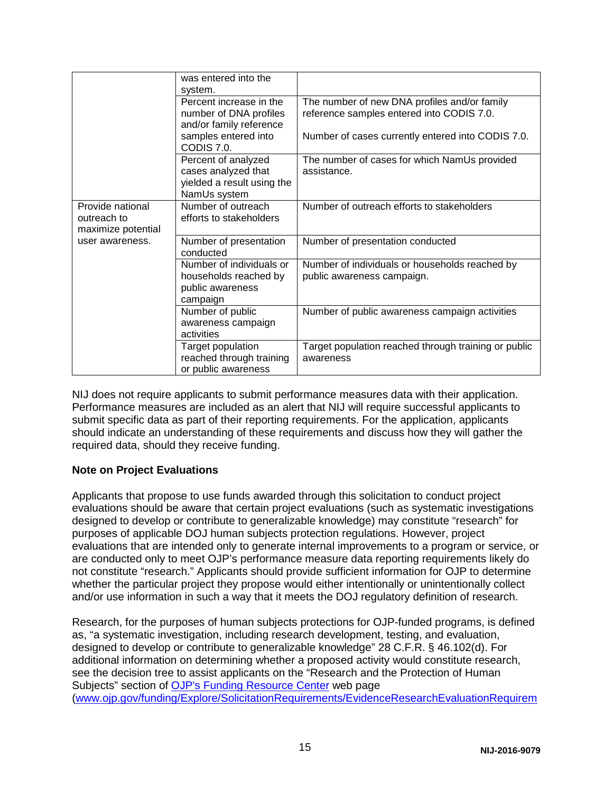|                                                       | was entered into the                                                                     |                                                                                           |
|-------------------------------------------------------|------------------------------------------------------------------------------------------|-------------------------------------------------------------------------------------------|
|                                                       | system.                                                                                  |                                                                                           |
|                                                       | Percent increase in the<br>number of DNA profiles<br>and/or family reference             | The number of new DNA profiles and/or family<br>reference samples entered into CODIS 7.0. |
|                                                       | samples entered into<br>CODIS 7.0.                                                       | Number of cases currently entered into CODIS 7.0.                                         |
|                                                       | Percent of analyzed<br>cases analyzed that<br>yielded a result using the<br>NamUs system | The number of cases for which NamUs provided<br>assistance.                               |
| Provide national<br>outreach to<br>maximize potential | Number of outreach<br>efforts to stakeholders                                            | Number of outreach efforts to stakeholders                                                |
| user awareness.                                       | Number of presentation<br>conducted                                                      | Number of presentation conducted                                                          |
|                                                       | Number of individuals or                                                                 | Number of individuals or households reached by                                            |
|                                                       | households reached by                                                                    | public awareness campaign.                                                                |
|                                                       | public awareness<br>campaign                                                             |                                                                                           |
|                                                       | Number of public<br>awareness campaign<br>activities                                     | Number of public awareness campaign activities                                            |
|                                                       | Target population<br>reached through training<br>or public awareness                     | Target population reached through training or public<br>awareness                         |

NIJ does not require applicants to submit performance measures data with their application. Performance measures are included as an alert that NIJ will require successful applicants to submit specific data as part of their reporting requirements. For the application, applicants should indicate an understanding of these requirements and discuss how they will gather the required data, should they receive funding.

#### **Note on Project Evaluations**

Applicants that propose to use funds awarded through this solicitation to conduct project evaluations should be aware that certain project evaluations (such as systematic investigations designed to develop or contribute to generalizable knowledge) may constitute "research" for purposes of applicable DOJ human subjects protection regulations. However, project evaluations that are intended only to generate internal improvements to a program or service, or are conducted only to meet OJP's performance measure data reporting requirements likely do not constitute "research." Applicants should provide sufficient information for OJP to determine whether the particular project they propose would either intentionally or unintentionally collect and/or use information in such a way that it meets the DOJ regulatory definition of research.

Research, for the purposes of human subjects protections for OJP-funded programs, is defined as, "a systematic investigation, including research development, testing, and evaluation, designed to develop or contribute to generalizable knowledge" 28 C.F.R. § 46.102(d). For additional information on determining whether a proposed activity would constitute research, see the decision tree to assist applicants on the "Research and the Protection of Human Subjects" section of [OJP's Funding Resource Center](http://ojp.gov/funding/index.htm) web page [\(www.ojp.gov/funding/Explore/SolicitationRequirements/EvidenceResearchEvaluationRequirem](http://ojp.gov/funding/Explore/SolicitationRequirements/EvidenceResearchEvaluationRequirements.htm)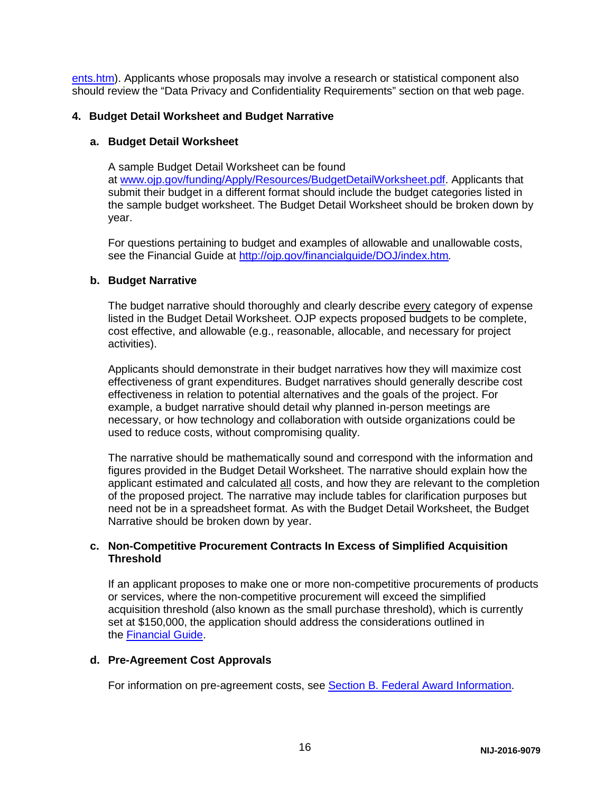[ents.htm\)](http://ojp.gov/funding/Explore/SolicitationRequirements/EvidenceResearchEvaluationRequirements.htm). Applicants whose proposals may involve a research or statistical component also should review the "Data Privacy and Confidentiality Requirements" section on that web page.

#### **4. Budget Detail Worksheet and Budget Narrative**

#### **a. Budget Detail Worksheet**

A sample Budget Detail Worksheet can be found at [www.ojp.gov/funding/Apply/Resources/BudgetDetailWorksheet.pdf.](http://ojp.gov/funding/Apply/Resources/BudgetDetailWorksheet.pdf) Applicants that submit their budget in a different format should include the budget categories listed in the sample budget worksheet. The Budget Detail Worksheet should be broken down by year.

For questions pertaining to budget and examples of allowable and unallowable costs, see the Financial Guide at<http://ojp.gov/financialguide/DOJ/index.htm>*.*

#### **b. Budget Narrative**

The budget narrative should thoroughly and clearly describe every category of expense listed in the Budget Detail Worksheet. OJP expects proposed budgets to be complete, cost effective, and allowable (e.g., reasonable, allocable, and necessary for project activities).

Applicants should demonstrate in their budget narratives how they will maximize cost effectiveness of grant expenditures. Budget narratives should generally describe cost effectiveness in relation to potential alternatives and the goals of the project. For example, a budget narrative should detail why planned in-person meetings are necessary, or how technology and collaboration with outside organizations could be used to reduce costs, without compromising quality.

The narrative should be mathematically sound and correspond with the information and figures provided in the Budget Detail Worksheet. The narrative should explain how the applicant estimated and calculated all costs, and how they are relevant to the completion of the proposed project. The narrative may include tables for clarification purposes but need not be in a spreadsheet format. As with the Budget Detail Worksheet, the Budget Narrative should be broken down by year.

#### **c. Non-Competitive Procurement Contracts In Excess of Simplified Acquisition Threshold**

If an applicant proposes to make one or more non-competitive procurements of products or services, where the non-competitive procurement will exceed the simplified acquisition threshold (also known as the small purchase threshold), which is currently set at \$150,000, the application should address the considerations outlined in the [Financial Guide.](http://ojp.gov/financialguide/DOJ/index.htm)

#### **d. Pre-Agreement Cost Approvals**

For information on pre-agreement costs, see [Section B. Federal Award Information.](#page-8-1)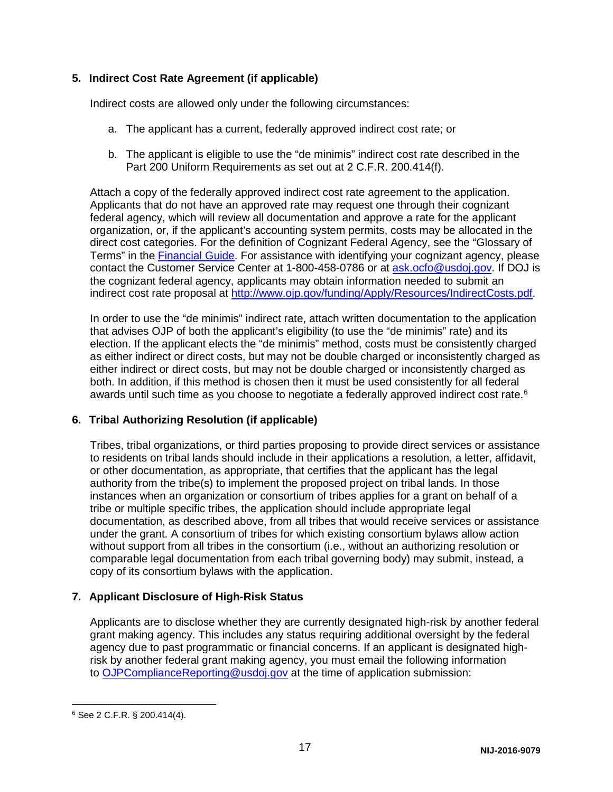#### **5. Indirect Cost Rate Agreement (if applicable)**

Indirect costs are allowed only under the following circumstances:

- a. The applicant has a current, federally approved indirect cost rate; or
- b. The applicant is eligible to use the "de minimis" indirect cost rate described in the Part 200 Uniform Requirements as set out at 2 C.F.R. 200.414(f).

Attach a copy of the federally approved indirect cost rate agreement to the application. Applicants that do not have an approved rate may request one through their cognizant federal agency, which will review all documentation and approve a rate for the applicant organization, or, if the applicant's accounting system permits, costs may be allocated in the direct cost categories. For the definition of Cognizant Federal Agency, see the "Glossary of Terms" in the [Financial Guide.](http://ojp.gov/financialguide/index.htm) For assistance with identifying your cognizant agency, please contact the Customer Service Center at 1-800-458-0786 or at [ask.ocfo@usdoj.gov.](mailto:ask.ocfo@usdoj.gov) If DOJ is the cognizant federal agency, applicants may obtain information needed to submit an indirect cost rate proposal at [http://www.ojp.gov/funding/Apply/Resources/IndirectCosts.pdf.](http://www.ojp.gov/funding/Apply/Resources/IndirectCosts.pdf)

In order to use the "de minimis" indirect rate, attach written documentation to the application that advises OJP of both the applicant's eligibility (to use the "de minimis" rate) and its election. If the applicant elects the "de minimis" method, costs must be consistently charged as either indirect or direct costs, but may not be double charged or inconsistently charged as either indirect or direct costs, but may not be double charged or inconsistently charged as both. In addition, if this method is chosen then it must be used consistently for all federal awards until such time as you choose to negotiate a federally approved indirect cost rate. $6$ 

#### **6. Tribal Authorizing Resolution (if applicable)**

Tribes, tribal organizations, or third parties proposing to provide direct services or assistance to residents on tribal lands should include in their applications a resolution, a letter, affidavit, or other documentation, as appropriate, that certifies that the applicant has the legal authority from the tribe(s) to implement the proposed project on tribal lands. In those instances when an organization or consortium of tribes applies for a grant on behalf of a tribe or multiple specific tribes, the application should include appropriate legal documentation, as described above, from all tribes that would receive services or assistance under the grant. A consortium of tribes for which existing consortium bylaws allow action without support from all tribes in the consortium (i.e., without an authorizing resolution or comparable legal documentation from each tribal governing body) may submit, instead, a copy of its consortium bylaws with the application.

#### **7. Applicant Disclosure of High-Risk Status**

Applicants are to disclose whether they are currently designated high-risk by another federal grant making agency. This includes any status requiring additional oversight by the federal agency due to past programmatic or financial concerns. If an applicant is designated highrisk by another federal grant making agency, you must email the following information to [OJPComplianceReporting@usdoj.gov](mailto:OJPComplianceReporting@usdoj.gov) at the time of application submission:

<span id="page-17-0"></span> <sup>6</sup> See 2 C.F.R. § 200.414(4).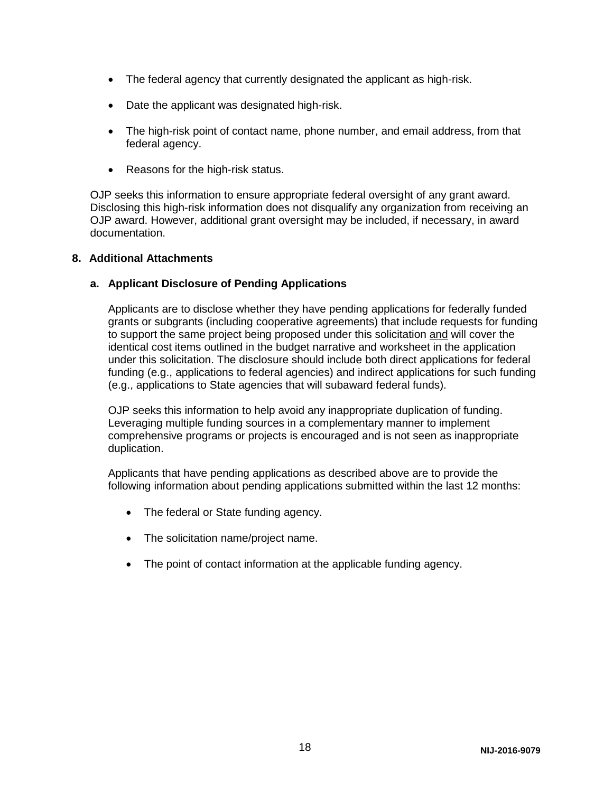- The federal agency that currently designated the applicant as high-risk.
- Date the applicant was designated high-risk.
- The high-risk point of contact name, phone number, and email address, from that federal agency.
- Reasons for the high-risk status.

OJP seeks this information to ensure appropriate federal oversight of any grant award. Disclosing this high-risk information does not disqualify any organization from receiving an OJP award. However, additional grant oversight may be included, if necessary, in award documentation.

#### **8. Additional Attachments**

#### **a. Applicant Disclosure of Pending Applications**

Applicants are to disclose whether they have pending applications for federally funded grants or subgrants (including cooperative agreements) that include requests for funding to support the same project being proposed under this solicitation and will cover the identical cost items outlined in the budget narrative and worksheet in the application under this solicitation. The disclosure should include both direct applications for federal funding (e.g., applications to federal agencies) and indirect applications for such funding (e.g., applications to State agencies that will subaward federal funds).

OJP seeks this information to help avoid any inappropriate duplication of funding. Leveraging multiple funding sources in a complementary manner to implement comprehensive programs or projects is encouraged and is not seen as inappropriate duplication.

Applicants that have pending applications as described above are to provide the following information about pending applications submitted within the last 12 months:

- The federal or State funding agency.
- The solicitation name/project name.
- The point of contact information at the applicable funding agency.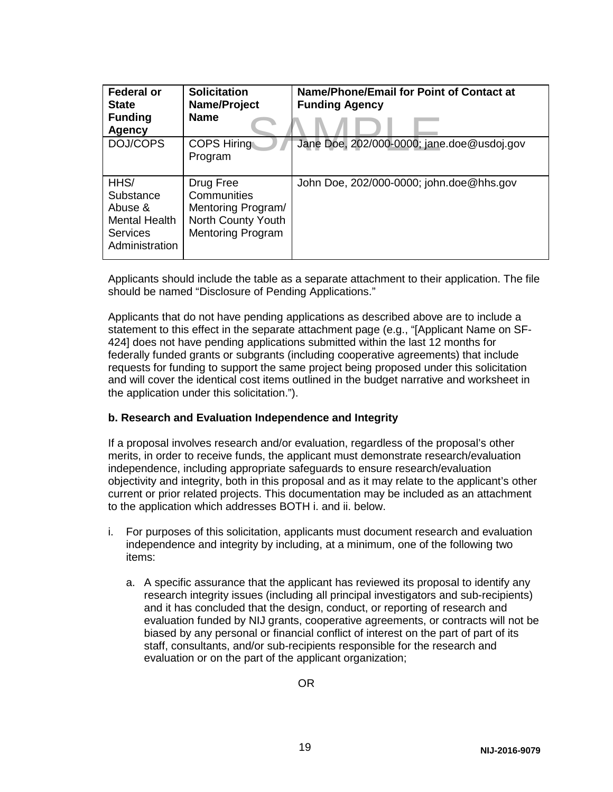| <b>Federal or</b><br><b>State</b><br><b>Funding</b><br>Agency                      | <b>Solicitation</b><br>Name/Project<br><b>Name</b>                                               | Name/Phone/Email for Point of Contact at<br><b>Funding Agency</b> |
|------------------------------------------------------------------------------------|--------------------------------------------------------------------------------------------------|-------------------------------------------------------------------|
| DOJ/COPS                                                                           | <b>COPS Hiring</b><br>Program                                                                    | Jane Doe, 202/000-0000; jane.doe@usdoj.gov                        |
| HHS/<br>Substance<br>Abuse &<br>Mental Health<br><b>Services</b><br>Administration | Drug Free<br>Communities<br>Mentoring Program/<br>North County Youth<br><b>Mentoring Program</b> | John Doe, 202/000-0000; john.doe@hhs.gov                          |

Applicants should include the table as a separate attachment to their application. The file should be named "Disclosure of Pending Applications."

Applicants that do not have pending applications as described above are to include a statement to this effect in the separate attachment page (e.g., "[Applicant Name on SF-424] does not have pending applications submitted within the last 12 months for federally funded grants or subgrants (including cooperative agreements) that include requests for funding to support the same project being proposed under this solicitation and will cover the identical cost items outlined in the budget narrative and worksheet in the application under this solicitation.").

#### **b. Research and Evaluation Independence and Integrity**

If a proposal involves research and/or evaluation, regardless of the proposal's other merits, in order to receive funds, the applicant must demonstrate research/evaluation independence, including appropriate safeguards to ensure research/evaluation objectivity and integrity, both in this proposal and as it may relate to the applicant's other current or prior related projects. This documentation may be included as an attachment to the application which addresses BOTH i. and ii. below.

- i. For purposes of this solicitation, applicants must document research and evaluation independence and integrity by including, at a minimum, one of the following two items:
	- a. A specific assurance that the applicant has reviewed its proposal to identify any research integrity issues (including all principal investigators and sub-recipients) and it has concluded that the design, conduct, or reporting of research and evaluation funded by NIJ grants, cooperative agreements, or contracts will not be biased by any personal or financial conflict of interest on the part of part of its staff, consultants, and/or sub-recipients responsible for the research and evaluation or on the part of the applicant organization;

OR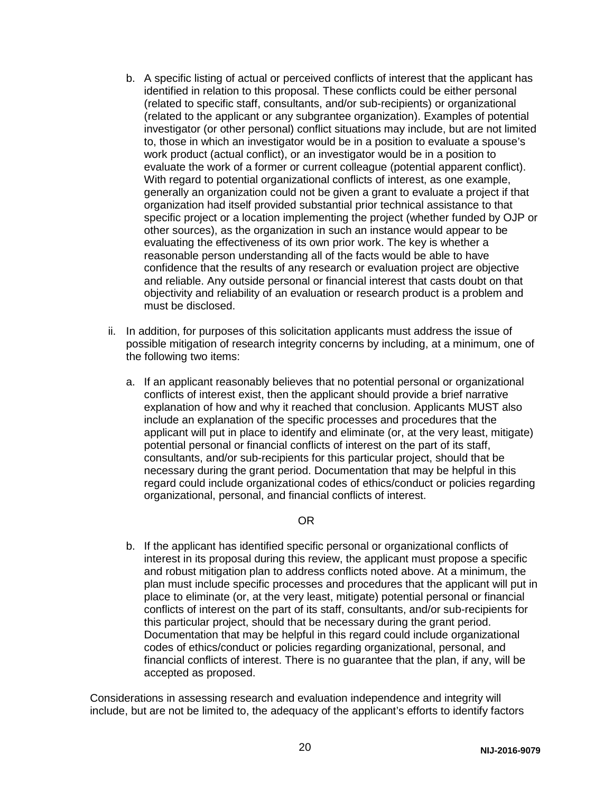- b. A specific listing of actual or perceived conflicts of interest that the applicant has identified in relation to this proposal. These conflicts could be either personal (related to specific staff, consultants, and/or sub-recipients) or organizational (related to the applicant or any subgrantee organization). Examples of potential investigator (or other personal) conflict situations may include, but are not limited to, those in which an investigator would be in a position to evaluate a spouse's work product (actual conflict), or an investigator would be in a position to evaluate the work of a former or current colleague (potential apparent conflict). With regard to potential organizational conflicts of interest, as one example, generally an organization could not be given a grant to evaluate a project if that organization had itself provided substantial prior technical assistance to that specific project or a location implementing the project (whether funded by OJP or other sources), as the organization in such an instance would appear to be evaluating the effectiveness of its own prior work. The key is whether a reasonable person understanding all of the facts would be able to have confidence that the results of any research or evaluation project are objective and reliable. Any outside personal or financial interest that casts doubt on that objectivity and reliability of an evaluation or research product is a problem and must be disclosed.
- ii. In addition, for purposes of this solicitation applicants must address the issue of possible mitigation of research integrity concerns by including, at a minimum, one of the following two items:
	- a. If an applicant reasonably believes that no potential personal or organizational conflicts of interest exist, then the applicant should provide a brief narrative explanation of how and why it reached that conclusion. Applicants MUST also include an explanation of the specific processes and procedures that the applicant will put in place to identify and eliminate (or, at the very least, mitigate) potential personal or financial conflicts of interest on the part of its staff, consultants, and/or sub-recipients for this particular project, should that be necessary during the grant period. Documentation that may be helpful in this regard could include organizational codes of ethics/conduct or policies regarding organizational, personal, and financial conflicts of interest.

#### OR

b. If the applicant has identified specific personal or organizational conflicts of interest in its proposal during this review, the applicant must propose a specific and robust mitigation plan to address conflicts noted above. At a minimum, the plan must include specific processes and procedures that the applicant will put in place to eliminate (or, at the very least, mitigate) potential personal or financial conflicts of interest on the part of its staff, consultants, and/or sub-recipients for this particular project, should that be necessary during the grant period. Documentation that may be helpful in this regard could include organizational codes of ethics/conduct or policies regarding organizational, personal, and financial conflicts of interest. There is no guarantee that the plan, if any, will be accepted as proposed.

Considerations in assessing research and evaluation independence and integrity will include, but are not be limited to, the adequacy of the applicant's efforts to identify factors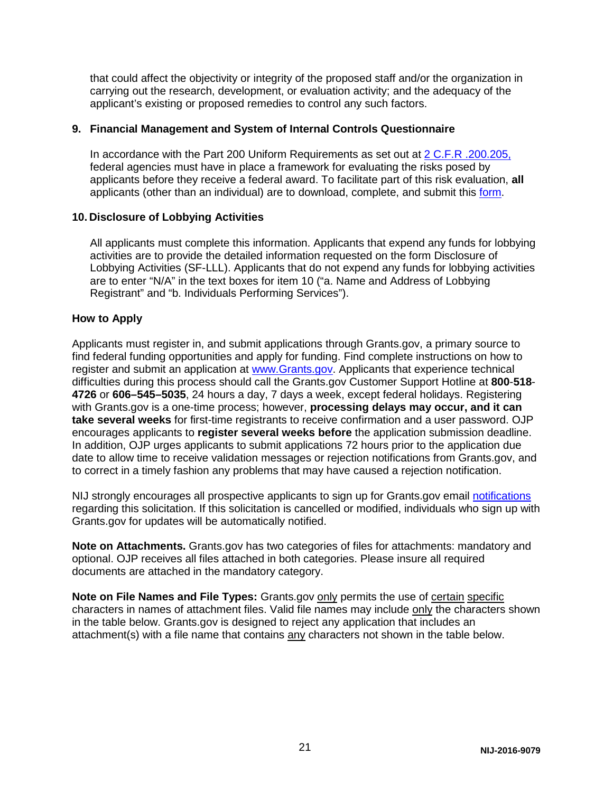that could affect the objectivity or integrity of the proposed staff and/or the organization in carrying out the research, development, or evaluation activity; and the adequacy of the applicant's existing or proposed remedies to control any such factors.

#### **9. Financial Management and System of Internal Controls Questionnaire**

In accordance with the Part 200 Uniform Requirements as set out at [2 C.F.R .200.205,](http://www.ecfr.gov/cgi-bin/text-idx?SID=2ebfb13012953333f32ed4cf1411e33e&node=pt2.1.200&rgn=div5#se2.1.200_1205) federal agencies must have in place a framework for evaluating the risks posed by applicants before they receive a federal award. To facilitate part of this risk evaluation, **all** applicants (other than an individual) are to download, complete, and submit this [form.](http://ojp.gov/funding/Apply/Resources/FinancialCapability.pdf)

#### **10. Disclosure of Lobbying Activities**

All applicants must complete this information. Applicants that expend any funds for lobbying activities are to provide the detailed information requested on the form Disclosure of Lobbying Activities (SF-LLL). Applicants that do not expend any funds for lobbying activities are to enter "N/A" in the text boxes for item 10 ("a. Name and Address of Lobbying Registrant" and "b. Individuals Performing Services").

#### <span id="page-21-0"></span>**How to Apply**

Applicants must register in, and submit applications through Grants.gov, a primary source to find federal funding opportunities and apply for funding. Find complete instructions on how to register and submit an application at [www.Grants.gov.](http://www.grants.gov/) Applicants that experience technical difficulties during this process should call the Grants.gov Customer Support Hotline at **800**-**518**- **4726** or **606–545–5035**, 24 hours a day, 7 days a week, except federal holidays. Registering with Grants.gov is a one-time process; however, **processing delays may occur, and it can take several weeks** for first-time registrants to receive confirmation and a user password. OJP encourages applicants to **register several weeks before** the application submission deadline. In addition, OJP urges applicants to submit applications 72 hours prior to the application due date to allow time to receive validation messages or rejection notifications from Grants.gov, and to correct in a timely fashion any problems that may have caused a rejection notification.

NIJ strongly encourages all prospective applicants to sign up for Grants.gov email [notifications](http://www.grants.gov/web/grants/manage-subscriptions.html) regarding this solicitation. If this solicitation is cancelled or modified, individuals who sign up with Grants.gov for updates will be automatically notified.

**Note on Attachments.** Grants.gov has two categories of files for attachments: mandatory and optional. OJP receives all files attached in both categories. Please insure all required documents are attached in the mandatory category.

**Note on File Names and File Types:** Grants.gov only permits the use of certain specific characters in names of attachment files. Valid file names may include only the characters shown in the table below. Grants.gov is designed to reject any application that includes an attachment(s) with a file name that contains any characters not shown in the table below.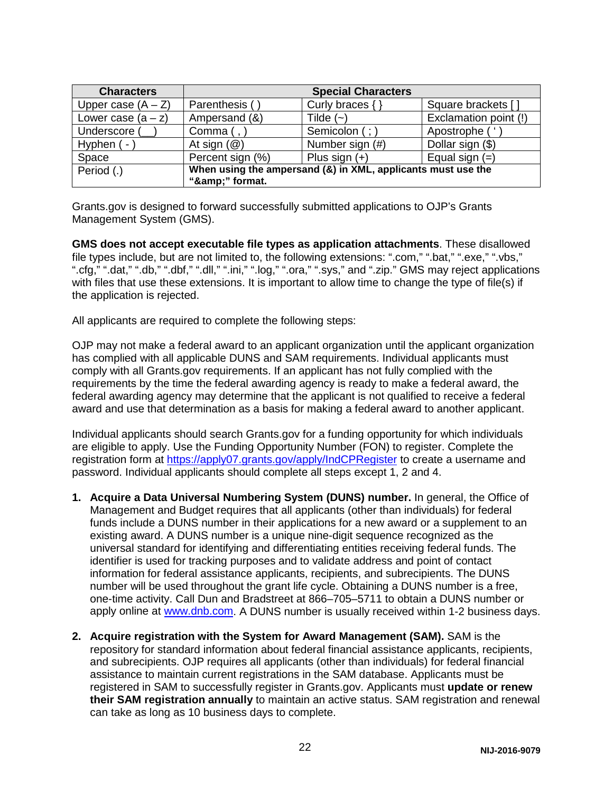| <b>Characters</b>    |                                                                             | <b>Special Characters</b> |                       |
|----------------------|-----------------------------------------------------------------------------|---------------------------|-----------------------|
| Upper case $(A - Z)$ | Parenthesis ()                                                              | Curly braces $\{\}$       | Square brackets []    |
| Lower case $(a - z)$ | Ampersand (&)                                                               | Tilde $(-)$               | Exclamation point (!) |
| Underscore (         | Comma $($ , $)$                                                             | Semicolon (; )            | Apostrophe ('         |
| Hyphen (-            | At sign $(\mathcal{Q})$                                                     | Number sign (#)           | Dollar sign (\$)      |
| Space                | Percent sign (%)                                                            | Plus sign $(+)$           | Equal sign $(=)$      |
| Period (.)           | When using the ampersand (&) in XML, applicants must use the<br>"&" format. |                           |                       |

Grants.gov is designed to forward successfully submitted applications to OJP's Grants Management System (GMS).

**GMS does not accept executable file types as application attachments**. These disallowed file types include, but are not limited to, the following extensions: ".com," ".bat," ".exe," ".vbs," ".cfg," ".dat," ".db," ".dbf," ".dll," ".ini," ".log," ".ora," ".sys," and ".zip." GMS may reject applications with files that use these extensions. It is important to allow time to change the type of file(s) if the application is rejected.

All applicants are required to complete the following steps:

OJP may not make a federal award to an applicant organization until the applicant organization has complied with all applicable DUNS and SAM requirements. Individual applicants must comply with all Grants.gov requirements. If an applicant has not fully complied with the requirements by the time the federal awarding agency is ready to make a federal award, the federal awarding agency may determine that the applicant is not qualified to receive a federal award and use that determination as a basis for making a federal award to another applicant.

Individual applicants should search Grants.gov for a funding opportunity for which individuals are eligible to apply. Use the Funding Opportunity Number (FON) to register. Complete the registration form at<https://apply07.grants.gov/apply/IndCPRegister> to create a username and password. Individual applicants should complete all steps except 1, 2 and 4.

- **1. Acquire a Data Universal Numbering System (DUNS) number.** In general, the Office of Management and Budget requires that all applicants (other than individuals) for federal funds include a DUNS number in their applications for a new award or a supplement to an existing award. A DUNS number is a unique nine-digit sequence recognized as the universal standard for identifying and differentiating entities receiving federal funds. The identifier is used for tracking purposes and to validate address and point of contact information for federal assistance applicants, recipients, and subrecipients. The DUNS number will be used throughout the grant life cycle. Obtaining a DUNS number is a free, one-time activity. Call Dun and Bradstreet at 866–705–5711 to obtain a DUNS number or apply online at [www.dnb.com.](http://www.dnb.com/) A DUNS number is usually received within 1-2 business days.
- **2. Acquire registration with the System for Award Management (SAM).** SAM is the repository for standard information about federal financial assistance applicants, recipients, and subrecipients. OJP requires all applicants (other than individuals) for federal financial assistance to maintain current registrations in the SAM database. Applicants must be registered in SAM to successfully register in Grants.gov. Applicants must **update or renew their SAM registration annually** to maintain an active status. SAM registration and renewal can take as long as 10 business days to complete.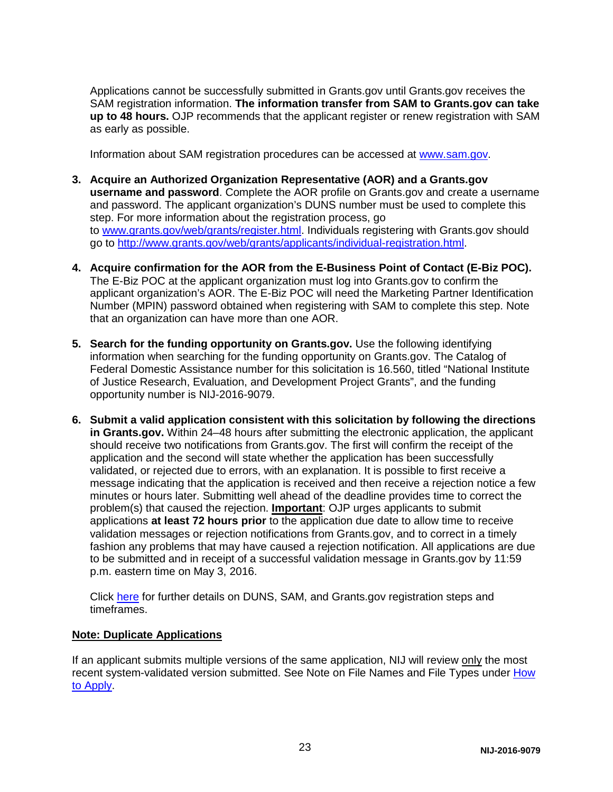Applications cannot be successfully submitted in Grants.gov until Grants.gov receives the SAM registration information. **The information transfer from SAM to Grants.gov can take up to 48 hours.** OJP recommends that the applicant register or renew registration with SAM as early as possible.

Information about SAM registration procedures can be accessed at [www.sam.gov.](https://www.sam.gov/portal/public/SAM/?portal:componentId=1f834b82-3fed-4eb3-a1f8-ea1f226a7955&portal:type=action&interactionstate=JBPNS_rO0ABXc0ABBfanNmQnJpZGdlVmlld0lkAAAAAQATL2pzZi9uYXZpZ2F0aW9uLmpzcAAHX19FT0ZfXw**)

- **3. Acquire an Authorized Organization Representative (AOR) and a Grants.gov username and password**. Complete the AOR profile on Grants.gov and create a username and password. The applicant organization's DUNS number must be used to complete this step. For more information about the registration process, go to [www.grants.gov/web/grants/register.html.](http://www.grants.gov/web/grants/register.html) Individuals registering with Grants.gov should go to [http://www.grants.gov/web/grants/applicants/individual-registration.html.](http://www.grants.gov/web/grants/applicants/individual-registration.html)
- **4. Acquire confirmation for the AOR from the E-Business Point of Contact (E-Biz POC).**  The E-Biz POC at the applicant organization must log into Grants.gov to confirm the applicant organization's AOR. The E-Biz POC will need the Marketing Partner Identification Number (MPIN) password obtained when registering with SAM to complete this step. Note that an organization can have more than one AOR.
- **5. Search for the funding opportunity on Grants.gov.** Use the following identifying information when searching for the funding opportunity on Grants.gov. The Catalog of Federal Domestic Assistance number for this solicitation is 16.560, titled "National Institute of Justice Research, Evaluation, and Development Project Grants", and the funding opportunity number is NIJ-2016-9079.
- **6. Submit a valid application consistent with this solicitation by following the directions in Grants.gov.** Within 24–48 hours after submitting the electronic application, the applicant should receive two notifications from Grants.gov. The first will confirm the receipt of the application and the second will state whether the application has been successfully validated, or rejected due to errors, with an explanation. It is possible to first receive a message indicating that the application is received and then receive a rejection notice a few minutes or hours later. Submitting well ahead of the deadline provides time to correct the problem(s) that caused the rejection. **Important**: OJP urges applicants to submit applications **at least 72 hours prior** to the application due date to allow time to receive validation messages or rejection notifications from Grants.gov, and to correct in a timely fashion any problems that may have caused a rejection notification. All applications are due to be submitted and in receipt of a successful validation message in Grants.gov by 11:59 p.m. eastern time on May 3, 2016.

Click [here](http://www.grants.gov/web/grants/applicants/organization-registration.html) for further details on DUNS, SAM, and Grants.gov registration steps and timeframes.

#### **Note: Duplicate Applications**

If an applicant submits multiple versions of the same application, NIJ will review only the most recent system-validated version submitted. See Note on File Names and File Types under [How](#page-21-0)  [to Apply.](#page-21-0)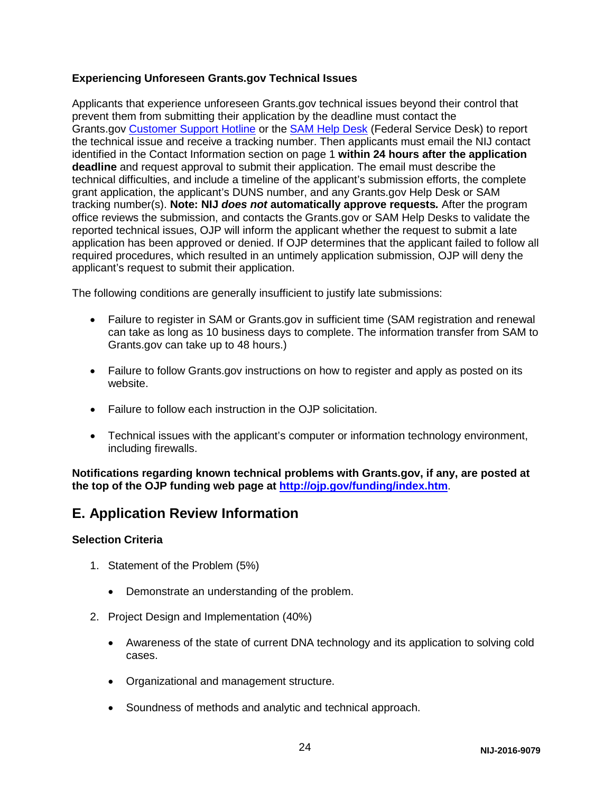#### **Experiencing Unforeseen Grants.gov Technical Issues**

Applicants that experience unforeseen Grants.gov technical issues beyond their control that prevent them from submitting their application by the deadline must contact the Grants.gov [Customer Support Hotline](http://www.grants.gov/web/grants/about/contact-us.html) or the [SAM Help Desk](https://www.fsd.gov/fsd-gov/home.do) (Federal Service Desk) to report the technical issue and receive a tracking number. Then applicants must email the NIJ contact identified in the Contact Information section on page 1 **within 24 hours after the application deadline** and request approval to submit their application. The email must describe the technical difficulties, and include a timeline of the applicant's submission efforts, the complete grant application, the applicant's DUNS number, and any Grants.gov Help Desk or SAM tracking number(s). **Note: NIJ** *does not* **automatically approve requests***.* After the program office reviews the submission, and contacts the Grants.gov or SAM Help Desks to validate the reported technical issues, OJP will inform the applicant whether the request to submit a late application has been approved or denied. If OJP determines that the applicant failed to follow all required procedures, which resulted in an untimely application submission, OJP will deny the applicant's request to submit their application.

The following conditions are generally insufficient to justify late submissions:

- Failure to register in SAM or Grants.gov in sufficient time (SAM registration and renewal can take as long as 10 business days to complete. The information transfer from SAM to Grants.gov can take up to 48 hours.)
- Failure to follow Grants.gov instructions on how to register and apply as posted on its website.
- Failure to follow each instruction in the OJP solicitation.
- Technical issues with the applicant's computer or information technology environment, including firewalls.

**Notifications regarding known technical problems with Grants.gov, if any, are posted at the top of the OJP funding web page at <http://ojp.gov/funding/index.htm>**.

## <span id="page-24-0"></span>**E. Application Review Information**

#### <span id="page-24-1"></span>**Selection Criteria**

- 1. Statement of the Problem (5%)
	- Demonstrate an understanding of the problem.
- 2. Project Design and Implementation (40%)
	- Awareness of the state of current DNA technology and its application to solving cold cases.
	- Organizational and management structure.
	- Soundness of methods and analytic and technical approach.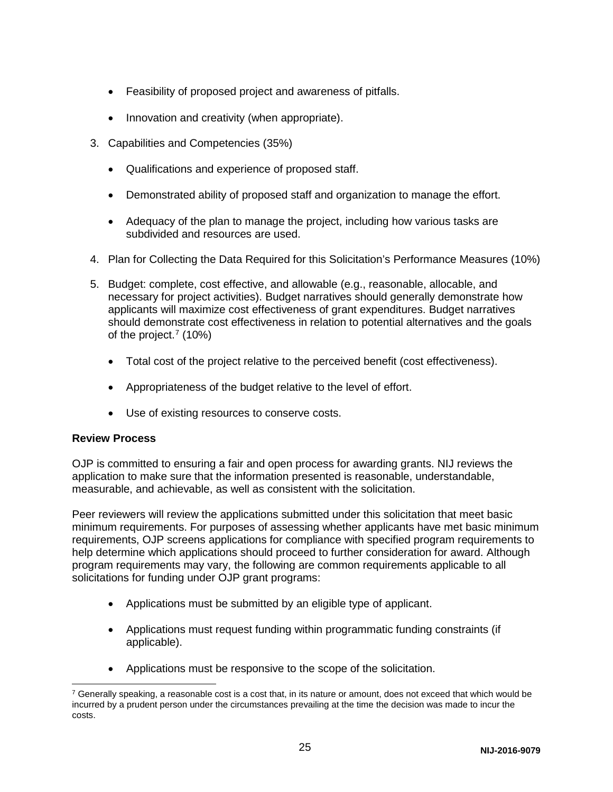- Feasibility of proposed project and awareness of pitfalls.
- Innovation and creativity (when appropriate).
- 3. Capabilities and Competencies (35%)
	- Qualifications and experience of proposed staff.
	- Demonstrated ability of proposed staff and organization to manage the effort.
	- Adequacy of the plan to manage the project, including how various tasks are subdivided and resources are used.
- 4. Plan for Collecting the Data Required for this Solicitation's Performance Measures (10%)
- 5. Budget: complete, cost effective, and allowable (e.g., reasonable, allocable, and necessary for project activities). Budget narratives should generally demonstrate how applicants will maximize cost effectiveness of grant expenditures. Budget narratives should demonstrate cost effectiveness in relation to potential alternatives and the goals of the project.<sup>[7](#page-25-1)</sup> (10%)
	- Total cost of the project relative to the perceived benefit (cost effectiveness).
	- Appropriateness of the budget relative to the level of effort.
	- Use of existing resources to conserve costs.

#### <span id="page-25-0"></span>**Review Process**

OJP is committed to ensuring a fair and open process for awarding grants. NIJ reviews the application to make sure that the information presented is reasonable, understandable, measurable, and achievable, as well as consistent with the solicitation.

Peer reviewers will review the applications submitted under this solicitation that meet basic minimum requirements. For purposes of assessing whether applicants have met basic minimum requirements, OJP screens applications for compliance with specified program requirements to help determine which applications should proceed to further consideration for award. Although program requirements may vary, the following are common requirements applicable to all solicitations for funding under OJP grant programs:

- Applications must be submitted by an eligible type of applicant.
- Applications must request funding within programmatic funding constraints (if applicable).
- Applications must be responsive to the scope of the solicitation.

<span id="page-25-1"></span> $7$  Generally speaking, a reasonable cost is a cost that, in its nature or amount, does not exceed that which would be incurred by a prudent person under the circumstances prevailing at the time the decision was made to incur the costs.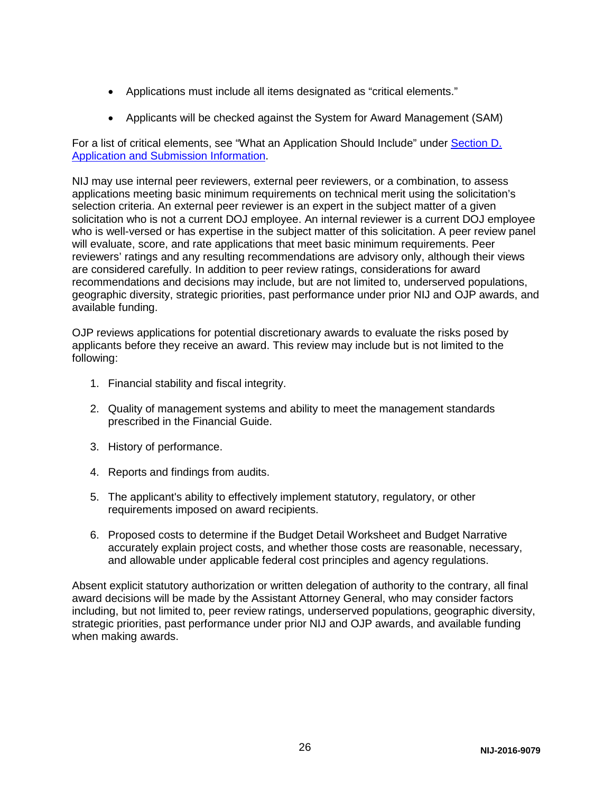- Applications must include all items designated as "critical elements."
- Applicants will be checked against the System for Award Management (SAM)

For a list of critical elements, see "What an Application Should Include" under Section D. [Application and Submission Information.](#page-12-0)

NIJ may use internal peer reviewers, external peer reviewers, or a combination, to assess applications meeting basic minimum requirements on technical merit using the solicitation's selection criteria. An external peer reviewer is an expert in the subject matter of a given solicitation who is not a current DOJ employee. An internal reviewer is a current DOJ employee who is well-versed or has expertise in the subject matter of this solicitation. A peer review panel will evaluate, score, and rate applications that meet basic minimum requirements. Peer reviewers' ratings and any resulting recommendations are advisory only, although their views are considered carefully. In addition to peer review ratings, considerations for award recommendations and decisions may include, but are not limited to, underserved populations, geographic diversity, strategic priorities, past performance under prior NIJ and OJP awards, and available funding.

OJP reviews applications for potential discretionary awards to evaluate the risks posed by applicants before they receive an award. This review may include but is not limited to the following:

- 1. Financial stability and fiscal integrity.
- 2. Quality of management systems and ability to meet the management standards prescribed in the Financial Guide.
- 3. History of performance.
- 4. Reports and findings from audits.
- 5. The applicant's ability to effectively implement statutory, regulatory, or other requirements imposed on award recipients.
- 6. Proposed costs to determine if the Budget Detail Worksheet and Budget Narrative accurately explain project costs, and whether those costs are reasonable, necessary, and allowable under applicable federal cost principles and agency regulations.

<span id="page-26-0"></span>Absent explicit statutory authorization or written delegation of authority to the contrary, all final award decisions will be made by the Assistant Attorney General, who may consider factors including, but not limited to, peer review ratings, underserved populations, geographic diversity, strategic priorities, past performance under prior NIJ and OJP awards, and available funding when making awards.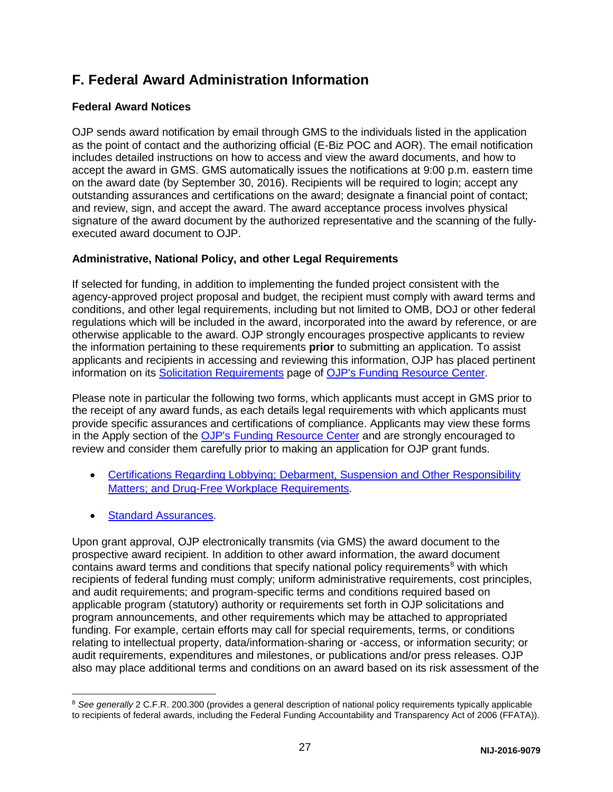## **F. Federal Award Administration Information**

#### <span id="page-27-0"></span>**Federal Award Notices**

OJP sends award notification by email through GMS to the individuals listed in the application as the point of contact and the authorizing official (E-Biz POC and AOR). The email notification includes detailed instructions on how to access and view the award documents, and how to accept the award in GMS. GMS automatically issues the notifications at 9:00 p.m. eastern time on the award date (by September 30, 2016). Recipients will be required to login; accept any outstanding assurances and certifications on the award; designate a financial point of contact; and review, sign, and accept the award. The award acceptance process involves physical signature of the award document by the authorized representative and the scanning of the fullyexecuted award document to OJP.

#### <span id="page-27-1"></span>**Administrative, National Policy, and other Legal Requirements**

If selected for funding, in addition to implementing the funded project consistent with the agency-approved project proposal and budget, the recipient must comply with award terms and conditions, and other legal requirements, including but not limited to OMB, DOJ or other federal regulations which will be included in the award, incorporated into the award by reference, or are otherwise applicable to the award. OJP strongly encourages prospective applicants to review the information pertaining to these requirements **prior** to submitting an application. To assist applicants and recipients in accessing and reviewing this information, OJP has placed pertinent information on its [Solicitation Requirements](http://ojp.gov/funding/Explore/SolicitationRequirements/index.htm) page of [OJP's Funding Resource Center.](http://ojp.gov/funding/index.htm)

Please note in particular the following two forms, which applicants must accept in GMS prior to the receipt of any award funds, as each details legal requirements with which applicants must provide specific assurances and certifications of compliance. Applicants may view these forms in the Apply section of the [OJP's Funding Resource Center](http://ojp.gov/funding/index.htm) and are strongly encouraged to review and consider them carefully prior to making an application for OJP grant funds.

- Certifications Regarding Lobbying: Debarment, Suspension and Other Responsibility Matters: and Drug-Free Workplace Requirements.
- [Standard Assurances.](http://ojp.gov/funding/Apply/Resources/StandardAssurances.pdf)

Upon grant approval, OJP electronically transmits (via GMS) the award document to the prospective award recipient. In addition to other award information, the award document contains award terms and conditions that specify national policy requirements<sup>[8](#page-27-2)</sup> with which recipients of federal funding must comply; uniform administrative requirements, cost principles, and audit requirements; and program-specific terms and conditions required based on applicable program (statutory) authority or requirements set forth in OJP solicitations and program announcements, and other requirements which may be attached to appropriated funding. For example, certain efforts may call for special requirements, terms, or conditions relating to intellectual property, data/information-sharing or -access, or information security; or audit requirements, expenditures and milestones, or publications and/or press releases. OJP also may place additional terms and conditions on an award based on its risk assessment of the

<span id="page-27-2"></span><sup>&</sup>lt;sup>8</sup> See generally 2 C.F.R. 200.300 (provides a general description of national policy requirements typically applicable to recipients of federal awards, including the Federal Funding Accountability and Transparency Act of 2006 (FFATA)).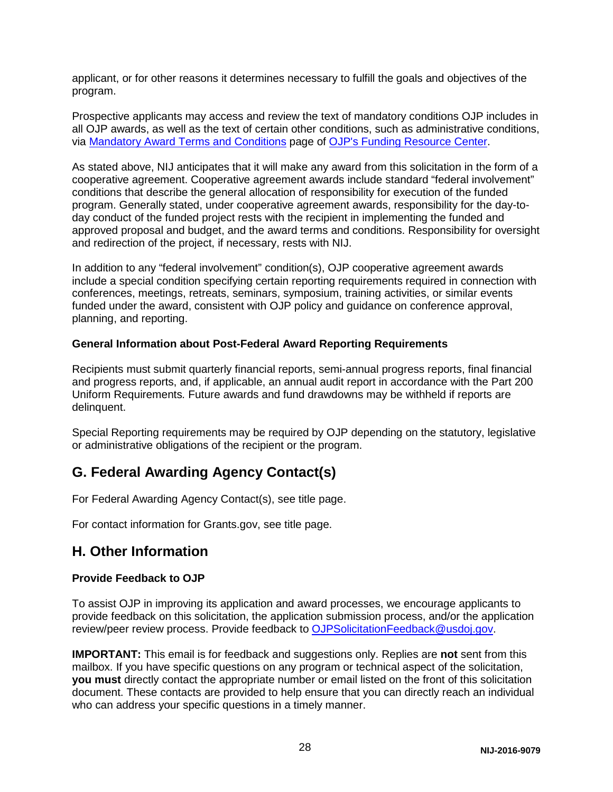applicant, or for other reasons it determines necessary to fulfill the goals and objectives of the program.

Prospective applicants may access and review the text of mandatory conditions OJP includes in all OJP awards, as well as the text of certain other conditions, such as administrative conditions, via [Mandatory Award Terms and Conditions](http://ojp.gov/funding/Explore/SolicitationRequirements/MandatoryTermsConditions.htm) page of [OJP's Funding Resource Center.](http://ojp.gov/funding/index.htm)

As stated above, NIJ anticipates that it will make any award from this solicitation in the form of a cooperative agreement. Cooperative agreement awards include standard "federal involvement" conditions that describe the general allocation of responsibility for execution of the funded program. Generally stated, under cooperative agreement awards, responsibility for the day-today conduct of the funded project rests with the recipient in implementing the funded and approved proposal and budget, and the award terms and conditions. Responsibility for oversight and redirection of the project, if necessary, rests with NIJ.

In addition to any "federal involvement" condition(s), OJP cooperative agreement awards include a special condition specifying certain reporting requirements required in connection with conferences, meetings, retreats, seminars, symposium, training activities, or similar events funded under the award, consistent with OJP policy and guidance on conference approval, planning, and reporting.

#### <span id="page-28-0"></span>**General Information about Post-Federal Award Reporting Requirements**

Recipients must submit quarterly financial reports, semi-annual progress reports, final financial and progress reports, and, if applicable, an annual audit report in accordance with the Part 200 Uniform Requirements*.* Future awards and fund drawdowns may be withheld if reports are delinquent.

Special Reporting requirements may be required by OJP depending on the statutory, legislative or administrative obligations of the recipient or the program.

## <span id="page-28-1"></span>**G. Federal Awarding Agency Contact(s)**

For Federal Awarding Agency Contact(s), see title page.

For contact information for Grants.gov, see title page.

## <span id="page-28-2"></span>**H. Other Information**

#### <span id="page-28-3"></span>**Provide Feedback to OJP**

To assist OJP in improving its application and award processes, we encourage applicants to provide feedback on this solicitation, the application submission process, and/or the application review/peer review process. Provide feedback to [OJPSolicitationFeedback@usdoj.gov.](mailto:OJPSolicitationFeedback@usdoj.gov)

**IMPORTANT:** This email is for feedback and suggestions only. Replies are **not** sent from this mailbox. If you have specific questions on any program or technical aspect of the solicitation, **you must** directly contact the appropriate number or email listed on the front of this solicitation document. These contacts are provided to help ensure that you can directly reach an individual who can address your specific questions in a timely manner.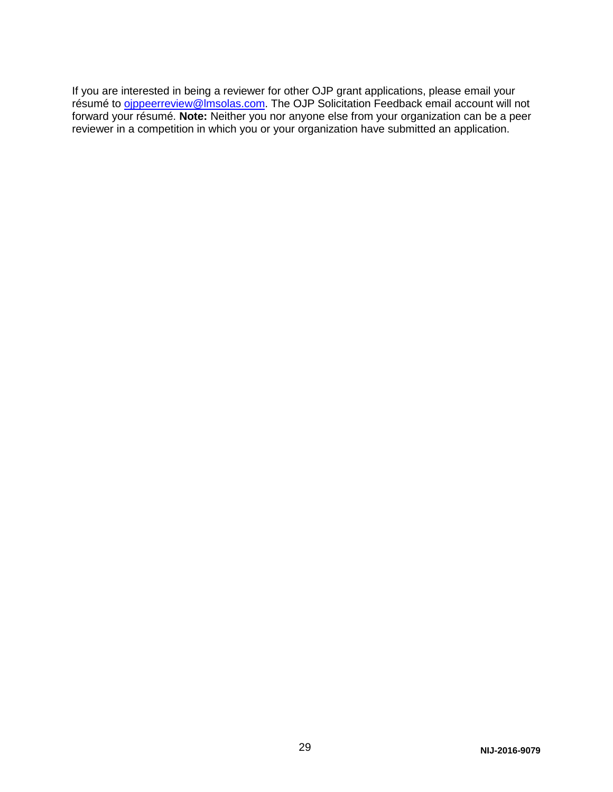If you are interested in being a reviewer for other OJP grant applications, please email your résumé to <u>oippeerreview@lmsolas.com</u>. The OJP Solicitation Feedback email account will not forward your résumé. **Note:** Neither you nor anyone else from your organization can be a peer reviewer in a competition in which you or your organization have submitted an application.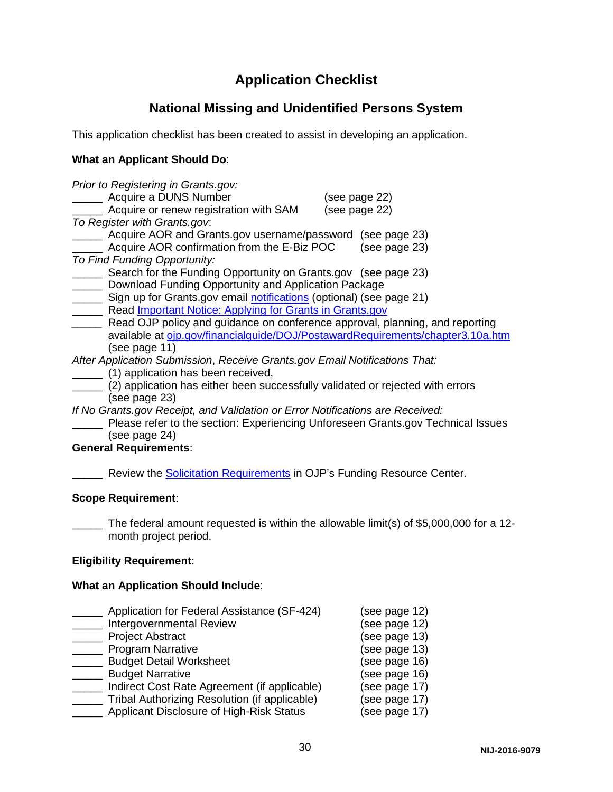## **Application Checklist**

## **National Missing and Unidentified Persons System**

<span id="page-30-0"></span>This application checklist has been created to assist in developing an application.

#### **What an Applicant Should Do**:

|                              | Prior to Registering in Grants.gov:                                            |               |
|------------------------------|--------------------------------------------------------------------------------|---------------|
|                              | Acquire a DUNS Number                                                          | (see page 22) |
|                              | Acquire or renew registration with SAM                                         | (see page 22) |
| To Register with Grants.gov. |                                                                                |               |
|                              | Acquire AOR and Grants.gov username/password                                   | (see page 23) |
|                              | Acquire AOR confirmation from the E-Biz POC                                    | (see page 23) |
| To Find Funding Opportunity: |                                                                                |               |
|                              | Search for the Funding Opportunity on Grants.gov (see page 23)                 |               |
|                              | Download Funding Opportunity and Application Package                           |               |
|                              | Sign up for Grants.gov email notifications (optional) (see page 21)            |               |
|                              | Read Important Notice: Applying for Grants in Grants.gov                       |               |
|                              | Read OJP policy and guidance on conference approval, planning, and reporting   |               |
|                              | available at oip.gov/financialguide/DOJ/PostawardRequirements/chapter3.10a.htm |               |
| (see page 11)                |                                                                                |               |
|                              | After Application Submission, Receive Grants.gov Email Notifications That:     |               |
|                              | (1) application has been received,                                             |               |
|                              | (2) application has either been successfully validated or rejected with errors |               |
|                              |                                                                                |               |

- (see page 23)
- *If No Grants.gov Receipt, and Validation or Error Notifications are Received:*
- **\_\_\_\_\_** Please refer to the section: Experiencing Unforeseen Grants.gov Technical Issues (see page 24)

#### **General Requirements**:

**EXECT** Review the **[Solicitation Requirements](http://ojp.gov/funding/Explore/SolicitationRequirements/index.htm)** in OJP's Funding Resource Center.

#### **Scope Requirement**:

The federal amount requested is within the allowable limit(s) of \$5,000,000 for a 12month project period.

#### **Eligibility Requirement**:

#### **What an Application Should Include**:

| Application for Federal Assistance (SF-424)   | (see page 12) |
|-----------------------------------------------|---------------|
| Intergovernmental Review                      | (see page 12) |
| <b>Project Abstract</b>                       | (see page 13) |
| <b>Program Narrative</b>                      | (see page 13) |
| <b>Budget Detail Worksheet</b>                | (see page 16) |
| <b>Budget Narrative</b>                       | (see page 16) |
| Indirect Cost Rate Agreement (if applicable)  | (see page 17) |
| Tribal Authorizing Resolution (if applicable) | (see page 17) |
| Applicant Disclosure of High-Risk Status      | (see page 17) |
|                                               |               |